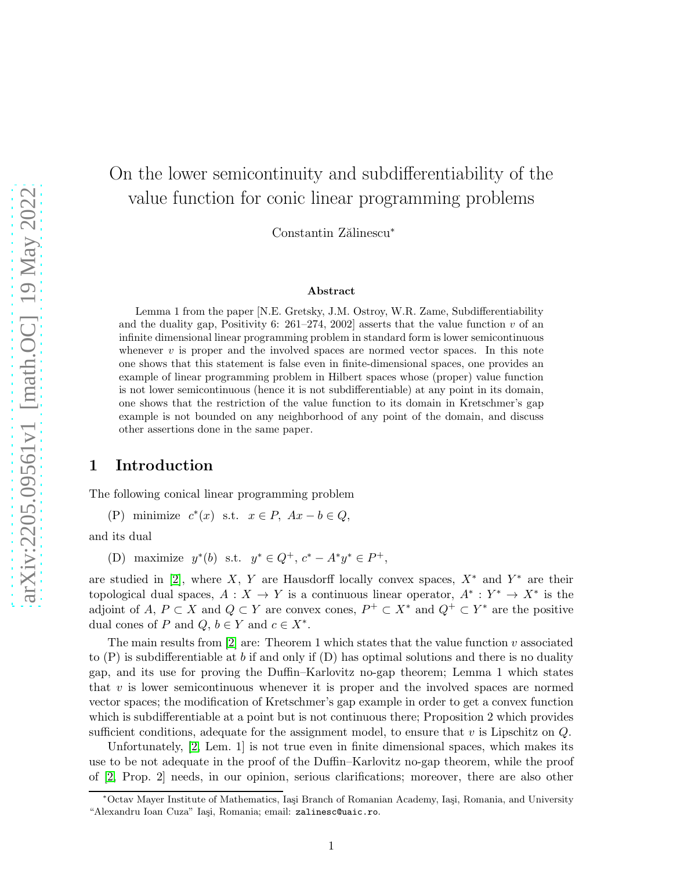# On the lower semicontinuity and subdifferentiability of the value function for conic linear programming problems

Constantin Zălinescu<sup>∗</sup>

#### Abstract

Lemma 1 from the paper [N.E. Gretsky, J.M. Ostroy, W.R. Zame, Subdifferentiability and the duality gap, Positivity 6: 261–274, 2002] asserts that the value function v of an infinite dimensional linear programming problem in standard form is lower semicontinuous whenever  $v$  is proper and the involved spaces are normed vector spaces. In this note one shows that this statement is false even in finite-dimensional spaces, one provides an example of linear programming problem in Hilbert spaces whose (proper) value function is not lower semicontinuous (hence it is not subdifferentiable) at any point in its domain, one shows that the restriction of the value function to its domain in Kretschmer's gap example is not bounded on any neighborhood of any point of the domain, and discuss other assertions done in the same paper.

#### 1 Introduction

The following conical linear programming problem

(P) minimize  $c^*(x)$  s.t.  $x \in P$ ,  $Ax - b \in Q$ ,

and its dual

(D) maximize  $y^*(b)$  s.t.  $y^* \in Q^+$ ,  $c^* - A^*y^* \in P^+$ ,

are studied in [\[2\]](#page-15-0), where X, Y are Hausdorff locally convex spaces,  $X^*$  and  $Y^*$  are their topological dual spaces,  $A: X \to Y$  is a continuous linear operator,  $A^*: Y^* \to X^*$  is the adjoint of A,  $P \subset X$  and  $Q \subset Y$  are convex cones,  $P^+ \subset X^*$  and  $Q^+ \subset Y^*$  are the positive dual cones of P and  $Q, b \in Y$  and  $c \in X^*$ .

The main results from  $[2]$  are: Theorem 1 which states that the value function v associated to  $(P)$  is subdifferentiable at b if and only if  $(D)$  has optimal solutions and there is no duality gap, and its use for proving the Duffin–Karlovitz no-gap theorem; Lemma 1 which states that  $v$  is lower semicontinuous whenever it is proper and the involved spaces are normed vector spaces; the modification of Kretschmer's gap example in order to get a convex function which is subdifferentiable at a point but is not continuous there; Proposition 2 which provides sufficient conditions, adequate for the assignment model, to ensure that  $v$  is Lipschitz on  $Q$ .

Unfortunately, [\[2,](#page-15-0) Lem. 1] is not true even in finite dimensional spaces, which makes its use to be not adequate in the proof of the Duffin–Karlovitz no-gap theorem, while the proof of [\[2,](#page-15-0) Prop. 2] needs, in our opinion, serious clarifications; moreover, there are also other

<sup>∗</sup>Octav Mayer Institute of Mathematics, Ia¸si Branch of Romanian Academy, Ia¸si, Romania, and University "Alexandru Ioan Cuza" Iași, Romania; email: zalinesc@uaic.ro.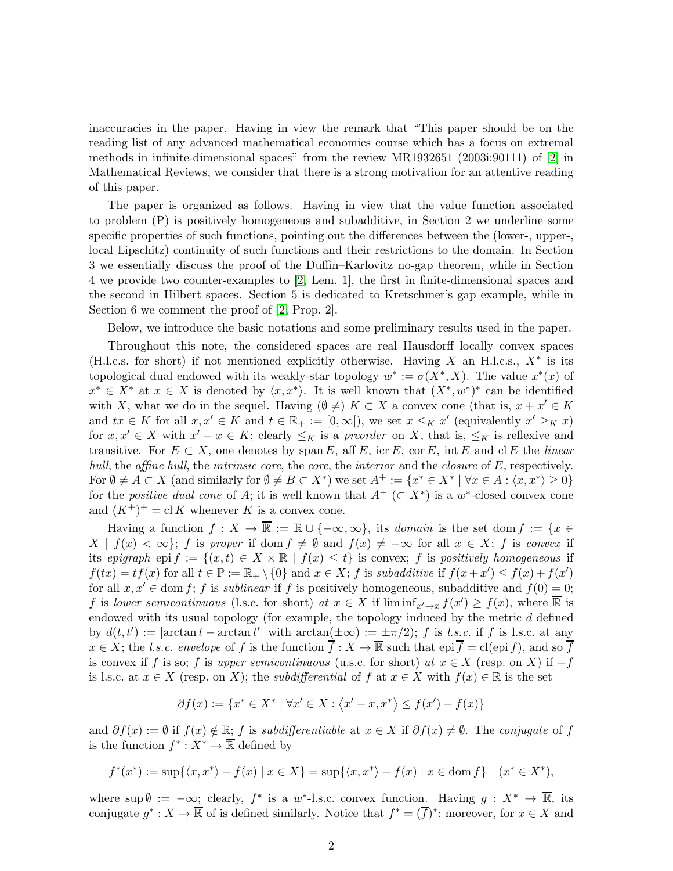inaccuracies in the paper. Having in view the remark that "This paper should be on the reading list of any advanced mathematical economics course which has a focus on extremal methods in infinite-dimensional spaces" from the review MR1932651 (2003i:90111) of [\[2\]](#page-15-0) in Mathematical Reviews, we consider that there is a strong motivation for an attentive reading of this paper.

The paper is organized as follows. Having in view that the value function associated to problem (P) is positively homogeneous and subadditive, in Section 2 we underline some specific properties of such functions, pointing out the differences between the (lower-, upper-, local Lipschitz) continuity of such functions and their restrictions to the domain. In Section 3 we essentially discuss the proof of the Duffin–Karlovitz no-gap theorem, while in Section 4 we provide two counter-examples to [\[2,](#page-15-0) Lem. 1], the first in finite-dimensional spaces and the second in Hilbert spaces. Section 5 is dedicated to Kretschmer's gap example, while in Section 6 we comment the proof of [\[2,](#page-15-0) Prop. 2].

Below, we introduce the basic notations and some preliminary results used in the paper.

Throughout this note, the considered spaces are real Hausdorff locally convex spaces (H.l.c.s. for short) if not mentioned explicitly otherwise. Having  $X$  an H.l.c.s.,  $X^*$  is its topological dual endowed with its weakly-star topology  $w^* := \sigma(X^*, X)$ . The value  $x^*(x)$  of  $x^* \in X^*$  at  $x \in X$  is denoted by  $\langle x, x^* \rangle$ . It is well known that  $(X^*, w^*)^*$  can be identified with X, what we do in the sequel. Having  $(\emptyset \neq)$  K ⊂ X a convex cone (that is,  $x + x' \in K$ ) and  $tx \in K$  for all  $x, x' \in K$  and  $t \in \mathbb{R}_+ := [0, \infty])$ , we set  $x \leq_K x'$  (equivalently  $x' \geq_K x$ ) for  $x, x' \in X$  with  $x' - x \in K$ ; clearly  $\leq_K$  is a preorder on X, that is,  $\leq_K$  is reflexive and transitive. For  $E \subset X$ , one denotes by span E, aff E, icr E, cor E, int E and cl E the linear hull, the affine hull, the intrinsic core, the core, the interior and the closure of  $E$ , respectively. For  $\emptyset \neq A \subset X$  (and similarly for  $\emptyset \neq B \subset X^*$ ) we set  $A^+ := \{x^* \in X^* \mid \forall x \in A : \langle x, x^* \rangle \geq 0\}$ for the *positive dual cone* of A; it is well known that  $A^+$  ( $\subset X^*$ ) is a w<sup>\*</sup>-closed convex cone and  $(K^+)^+ = \text{cl } K$  whenever K is a convex cone.

Having a function  $f: X \to \overline{\mathbb{R}} := \mathbb{R} \cup \{-\infty, \infty\}$ , its *domain* is the set dom  $f := \{x \in \mathbb{R} \mid x \in \mathbb{R}\}$  $X | f(x) < \infty$ ; f is proper if dom  $f \neq \emptyset$  and  $f(x) \neq -\infty$  for all  $x \in X$ ; f is convex if its epigraph epi  $f := \{(x, t) \in X \times \mathbb{R} \mid f(x) \leq t\}$  is convex; f is positively homogeneous if  $f(tx) = tf(x)$  for all  $t \in \mathbb{P} := \mathbb{R}_+ \setminus \{0\}$  and  $x \in X$ ; f is subadditive if  $f(x + x') \le f(x) + f(x')$ for all  $x, x' \in \text{dom } f$ ; f is sublinear if f is positively homogeneous, subadditive and  $f(0) = 0$ ; f is lower semicontinuous (l.s.c. for short) at  $x \in X$  if  $\liminf_{x' \to x} f(x') \ge f(x)$ , where  $\overline{\mathbb{R}}$  is endowed with its usual topology (for example, the topology induced by the metric d defined by  $d(t, t') := |\arctan t - \arctan t'|$  with  $\arctan(\pm \infty) := \pm \pi/2$ ; f is l.s.c. if f is l.s.c. at any  $x \in X$ ; the l.s.c. envelope of f is the function  $\overline{f}: X \to \overline{\mathbb{R}}$  such that epi $\overline{f} = \text{cl}(\text{epi } f)$ , and so  $\overline{f}$ is convex if f is so; f is upper semicontinuous (u.s.c. for short) at  $x \in X$  (resp. on X) if  $-f$ is l.s.c. at  $x \in X$  (resp. on X); the *subdifferential* of f at  $x \in X$  with  $f(x) \in \mathbb{R}$  is the set

$$
\partial f(x):=\{x^*\in X^*\mid \forall x'\in X: \left\langle x'-x,x^*\right\rangle\leq f(x')-f(x)\}
$$

and  $\partial f(x) := \emptyset$  if  $f(x) \notin \mathbb{R}$ ; f is subdifferentiable at  $x \in X$  if  $\partial f(x) \neq \emptyset$ . The conjugate of f is the function  $f^* : X^* \to \overline{\mathbb{R}}$  defined by

$$
f^*(x^*) := \sup\{\langle x, x^*\rangle - f(x) \mid x \in X\} = \sup\{\langle x, x^*\rangle - f(x) \mid x \in \text{dom } f\} \quad (x^* \in X^*),
$$

where  $\sup \emptyset := -\infty$ ; clearly,  $f^*$  is a  $w^*$ -l.s.c. convex function. Having  $g: X^* \to \overline{\mathbb{R}}$ , its conjugate  $g^*: X \to \overline{\mathbb{R}}$  of is defined similarly. Notice that  $f^* = (\overline{f})^*$ ; moreover, for  $x \in X$  and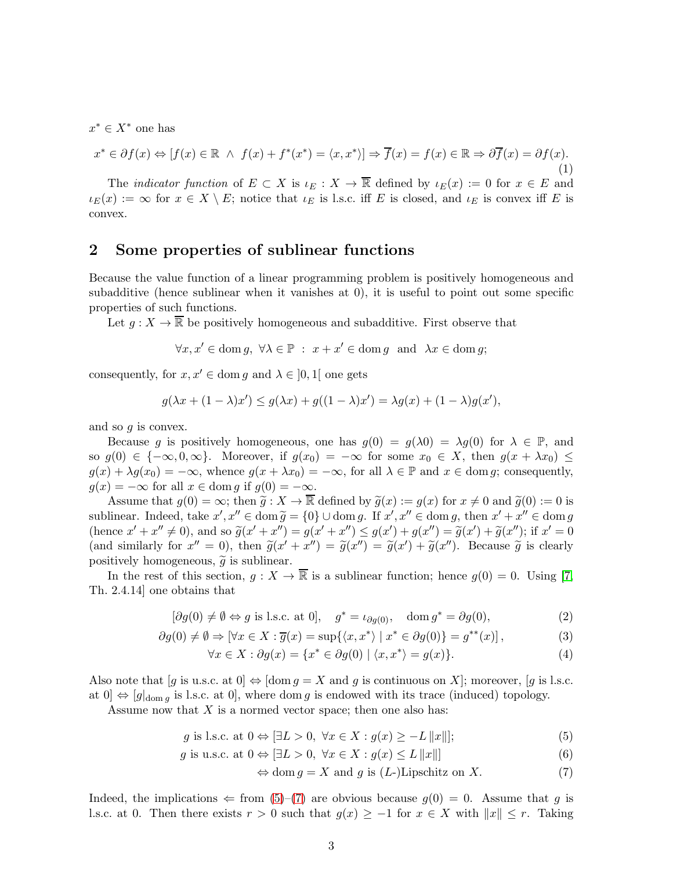$x^* \in X^*$  one has

<span id="page-2-6"></span>
$$
x^* \in \partial f(x) \Leftrightarrow [f(x) \in \mathbb{R} \ \land \ f(x) + f^*(x^*) = \langle x, x^* \rangle] \Rightarrow \overline{f}(x) = f(x) \in \mathbb{R} \Rightarrow \partial \overline{f}(x) = \partial f(x). \tag{1}
$$

The *indicator function* of  $E \subset X$  is  $\iota_E : X \to \overline{\mathbb{R}}$  defined by  $\iota_E(x) := 0$  for  $x \in E$  and  $\iota_E(x) := \infty$  for  $x \in X \setminus E$ ; notice that  $\iota_E$  is l.s.c. iff E is closed, and  $\iota_E$  is convex iff E is convex.

# <span id="page-2-7"></span>2 Some properties of sublinear functions

Because the value function of a linear programming problem is positively homogeneous and subadditive (hence sublinear when it vanishes at 0), it is useful to point out some specific properties of such functions.

Let  $g: X \to \overline{\mathbb{R}}$  be positively homogeneous and subadditive. First observe that

$$
\forall x,x' \in \mathrm{dom}\, g, \ \forall \lambda \in \mathbb{P} \ : \ x+x' \in \mathrm{dom}\, g \ \ \mathrm{and} \ \ \lambda x \in \mathrm{dom}\, g;
$$

consequently, for  $x, x' \in \text{dom } g$  and  $\lambda \in [0, 1]$  one gets

$$
g(\lambda x + (1 - \lambda)x') \le g(\lambda x) + g((1 - \lambda)x') = \lambda g(x) + (1 - \lambda)g(x'),
$$

and so  $q$  is convex.

Because g is positively homogeneous, one has  $g(0) = g(\lambda 0) = \lambda g(0)$  for  $\lambda \in \mathbb{P}$ , and so  $g(0) \in \{-\infty, 0, \infty\}$ . Moreover, if  $g(x_0) = -\infty$  for some  $x_0 \in X$ , then  $g(x + \lambda x_0) \leq$  $g(x) + \lambda g(x_0) = -\infty$ , whence  $g(x + \lambda x_0) = -\infty$ , for all  $\lambda \in \mathbb{P}$  and  $x \in \text{dom } g$ ; consequently,  $g(x) = -\infty$  for all  $x \in \text{dom } g$  if  $g(0) = -\infty$ .

Assume that  $g(0) = \infty$ ; then  $\widetilde{g}: X \to \overline{\mathbb{R}}$  defined by  $\widetilde{g}(x) := g(x)$  for  $x \neq 0$  and  $\widetilde{g}(0) := 0$  is sublinear. Indeed, take  $x', x'' \in \text{dom} \,\widetilde{g} = \{0\} \cup \text{dom} \, g$ . If  $x', x'' \in \text{dom} \, g$ , then  $x' + x'' \in \text{dom} \, g$ (hence  $x' + x'' \neq 0$ ), and so  $\tilde{g}(x' + x'') = g(x' + x'') \leq g(x') + g(x'') = \tilde{g}(x') + \tilde{g}(x'')$ ; if  $x' = 0$ (and similarly for  $x'' = 0$ ), then  $\tilde{g}(x' + x'') = \tilde{g}(x'') = \tilde{g}(x') + \tilde{g}(x'')$ . Because  $\tilde{g}$  is clearly positively homogeneous,  $\tilde{g}$  is sublinear.

In the rest of this section,  $g: X \to \overline{\mathbb{R}}$  is a sublinear function; hence  $g(0) = 0$ . Using [\[7,](#page-15-1) Th. 2.4.14] one obtains that

$$
[\partial g(0) \neq \emptyset \Leftrightarrow g \text{ is l.s.c. at 0}], \quad g^* = \iota_{\partial g(0)}, \quad \text{dom } g^* = \partial g(0), \tag{2}
$$

$$
\partial g(0) \neq \emptyset \Rightarrow [\forall x \in X : \overline{g}(x) = \sup\{\langle x, x^* \rangle \mid x^* \in \partial g(0)\} = g^{**}(x)],\tag{3}
$$

$$
\forall x \in X : \partial g(x) = \{x^* \in \partial g(0) \mid \langle x, x^* \rangle = g(x)\}.
$$
\n(4)

Also note that [g is u.s.c. at  $0 \Leftrightarrow$  [dom  $g = X$  and g is continuous on X]; moreover, [g is l.s.c. at  $[0] \Leftrightarrow [g]_{\text{dom } q}$  is l.s.c. at  $[0]$ , where dom g is endowed with its trace (induced) topology.

Assume now that  $X$  is a normed vector space; then one also has:

$$
g \text{ is l.s.c. at } 0 \Leftrightarrow [\exists L > 0, \ \forall x \in X : g(x) \ge -L ||x||];\tag{5}
$$

$$
g \text{ is u.s.c. at } 0 \Leftrightarrow [\exists L > 0, \ \forall x \in X : g(x) \le L ||x||] \tag{6}
$$

<span id="page-2-5"></span><span id="page-2-4"></span><span id="page-2-3"></span><span id="page-2-2"></span><span id="page-2-1"></span><span id="page-2-0"></span>
$$
\Leftrightarrow \text{dom } g = X \text{ and } g \text{ is } (L\text{-})\text{Lipschitz on } X. \tag{7}
$$

Indeed, the implications  $\Leftarrow$  from [\(5\)](#page-2-0)–[\(7\)](#page-2-1) are obvious because  $g(0) = 0$ . Assume that g is l.s.c. at 0. Then there exists  $r > 0$  such that  $g(x) \geq -1$  for  $x \in X$  with  $||x|| \leq r$ . Taking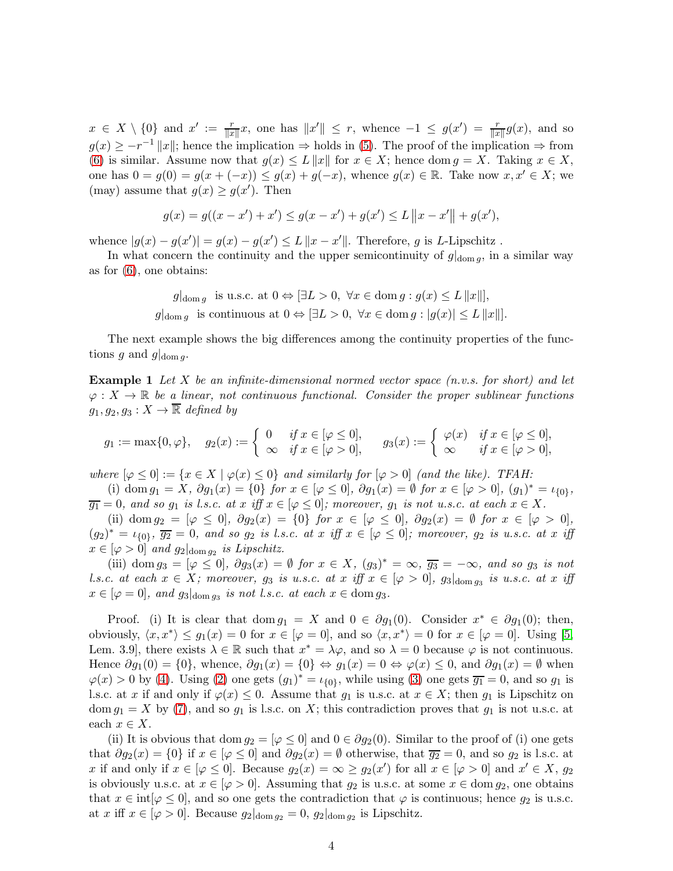$x \in X \setminus \{0\}$  and  $x' := \frac{r}{\|x\|}x$ , one has  $\|x'\| \leq r$ , whence  $-1 \leq g(x') = \frac{r}{\|x\|}g(x)$ , and so  $g(x) \geq -r^{-1} ||x||$ ; hence the implication  $\Rightarrow$  holds in [\(5\)](#page-2-0). The proof of the implication  $\Rightarrow$  from [\(6\)](#page-2-2) is similar. Assume now that  $g(x) \leq L||x||$  for  $x \in X$ ; hence dom  $g = X$ . Taking  $x \in X$ , one has  $0 = g(0) = g(x + (-x)) \le g(x) + g(-x)$ , whence  $g(x) \in \mathbb{R}$ . Take now  $x, x' \in X$ ; we (may) assume that  $g(x) \ge g(x')$ . Then

$$
g(x) = g((x - x') + x') \le g(x - x') + g(x') \le L ||x - x'|| + g(x'),
$$

whence  $|g(x) - g(x')| = g(x) - g(x') \le L ||x - x'||$ . Therefore, g is L-Lipschitz.

In what concern the continuity and the upper semicontinuity of  $g|_{\text{dom } q}$ , in a similar way as for [\(6\)](#page-2-2), one obtains:

$$
g|_{\text{dom }g} \text{ is u.s.c. at } 0 \Leftrightarrow [\exists L > 0, \ \forall x \in \text{dom } g : g(x) \le L ||x||],
$$
  

$$
g|_{\text{dom } g} \text{ is continuous at } 0 \Leftrightarrow [\exists L > 0, \ \forall x \in \text{dom } g : |g(x)| \le L ||x||].
$$

The next example shows the big differences among the continuity properties of the functions g and  $g|_{\text{dom }q}$ .

**Example 1** Let X be an infinite-dimensional normed vector space  $(n.v.s.$  for short) and let  $\varphi: X \to \mathbb{R}$  be a linear, not continuous functional. Consider the proper sublinear functions  $g_1, g_2, g_3: X \to \overline{\mathbb{R}}$  defined by

$$
g_1 := \max\{0, \varphi\}, \quad g_2(x) := \begin{cases} 0 & \text{if } x \in [\varphi \le 0], \\ \infty & \text{if } x \in [\varphi > 0], \end{cases} \quad g_3(x) := \begin{cases} \varphi(x) & \text{if } x \in [\varphi \le 0], \\ \infty & \text{if } x \in [\varphi > 0], \end{cases}
$$

where  $[\varphi \leq 0] := \{x \in X \mid \varphi(x) \leq 0\}$  and similarly for  $[\varphi > 0]$  (and the like). TFAH:

(i) dom  $g_1 = X$ ,  $\partial g_1(x) = \{0\}$  for  $x \in [\varphi \le 0]$ ,  $\partial g_1(x) = \emptyset$  for  $x \in [\varphi > 0]$ ,  $(g_1)^* = \iota_{\{0\}}$ ,  $\overline{g_1} = 0$ , and so  $g_1$  is l.s.c. at x iff  $x \in [\varphi \leq 0]$ ; moreover,  $g_1$  is not u.s.c. at each  $x \in X$ .

(ii) dom  $g_2 = [\varphi \leq 0], \ \partial g_2(x) = \{0\}$  for  $x \in [\varphi \leq 0], \ \partial g_2(x) = \emptyset$  for  $x \in [\varphi > 0],$  $(g_2)^* = \iota_{\{0\}}, \overline{g_2} = 0, \text{ and so } g_2 \text{ is } l.s.c. \text{ at } x \text{ iff } x \in [\varphi \leq 0]; \text{ moreover, } g_2 \text{ is } u.s.c. \text{ at } x \text{ iff }$  $x \in [\varphi > 0]$  and  $g_2|_{\text{dom } g_2}$  is Lipschitz.

(iii) dom  $g_3 = [\varphi \leq 0], \ \partial g_3(x) = \emptyset$  for  $x \in X$ ,  $(g_3)^* = \infty$ ,  $\overline{g_3} = -\infty$ , and so  $g_3$  is not l.s.c. at each  $x \in X$ ; moreover,  $g_3$  is u.s.c. at  $x$  iff  $x \in [\varphi > 0]$ ,  $g_3|_{\text{dom } g_3}$  is u.s.c. at  $x$  iff  $x \in [\varphi = 0]$ , and  $g_3|_{\text{dom } g_3}$  is not l.s.c. at each  $x \in \text{dom } g_3$ .

Proof. (i) It is clear that dom  $g_1 = X$  and  $0 \in \partial g_1(0)$ . Consider  $x^* \in \partial g_1(0)$ ; then, obviously,  $\langle x, x^* \rangle \le g_1(x) = 0$  for  $x \in [\varphi = 0]$ , and so  $\langle x, x^* \rangle = 0$  for  $x \in [\varphi = 0]$ . Using [\[5,](#page-15-2) Lem. 3.9, there exists  $\lambda \in \mathbb{R}$  such that  $x^* = \lambda \varphi$ , and so  $\lambda = 0$  because  $\varphi$  is not continuous. Hence  $\partial g_1(0) = \{0\}$ , whence,  $\partial g_1(x) = \{0\} \Leftrightarrow g_1(x) = 0 \Leftrightarrow \varphi(x) \leq 0$ , and  $\partial g_1(x) = \emptyset$  when  $\varphi(x) > 0$  by [\(4\)](#page-2-3). Using [\(2\)](#page-2-4) one gets  $(g_1)^* = \iota_{\{0\}}$ , while using [\(3\)](#page-2-5) one gets  $\overline{g_1} = 0$ , and so  $g_1$  is l.s.c. at x if and only if  $\varphi(x) \leq 0$ . Assume that  $g_1$  is u.s.c. at  $x \in X$ ; then  $g_1$  is Lipschitz on dom  $g_1 = X$  by [\(7\)](#page-2-1), and so  $g_1$  is l.s.c. on X; this contradiction proves that  $g_1$  is not u.s.c. at each  $x \in X$ .

(ii) It is obvious that dom  $g_2 = [\varphi \leq 0]$  and  $0 \in \partial g_2(0)$ . Similar to the proof of (i) one gets that  $\partial g_2(x) = \{0\}$  if  $x \in [\varphi \leq 0]$  and  $\partial g_2(x) = \emptyset$  otherwise, that  $\overline{g_2} = 0$ , and so  $g_2$  is l.s.c. at x if and only if  $x \in [\varphi \leq 0]$ . Because  $g_2(x) = \infty \geq g_2(x')$  for all  $x \in [\varphi > 0]$  and  $x' \in X$ ,  $g_2$ is obviously u.s.c. at  $x \in [\varphi > 0]$ . Assuming that  $g_2$  is u.s.c. at some  $x \in \text{dom } g_2$ , one obtains that  $x \in \text{int}[\varphi \leq 0]$ , and so one gets the contradiction that  $\varphi$  is continuous; hence  $g_2$  is u.s.c. at x iff  $x \in [\varphi > 0]$ . Because  $g_2|_{\text{dom } g_2} = 0$ ,  $g_2|_{\text{dom } g_2}$  is Lipschitz.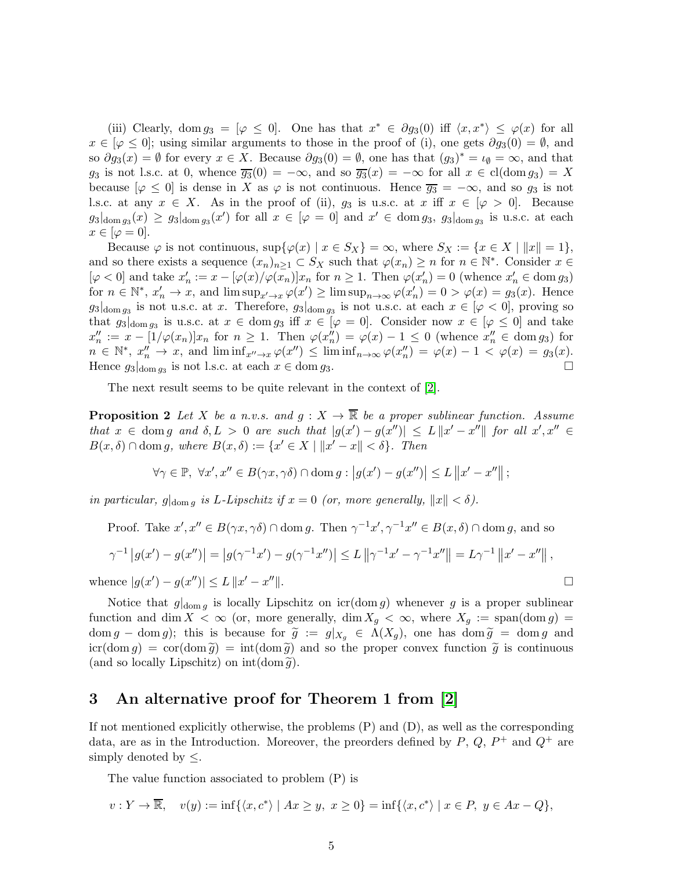(iii) Clearly, dom  $g_3 = [\varphi \leq 0]$ . One has that  $x^* \in \partial g_3(0)$  iff  $\langle x, x^* \rangle \leq \varphi(x)$  for all  $x \in [\varphi \leq 0]$ ; using similar arguments to those in the proof of (i), one gets  $\partial g_3(0) = \emptyset$ , and so  $\partial g_3(x) = \emptyset$  for every  $x \in X$ . Because  $\partial g_3(0) = \emptyset$ , one has that  $(g_3)^* = \iota_{\emptyset} = \infty$ , and that g<sub>3</sub> is not l.s.c. at 0, whence  $\overline{g_3}(0) = -\infty$ , and so  $\overline{g_3}(x) = -\infty$  for all  $x \in \text{cl}(\text{dom } g_3) = X$ because  $[\varphi \leq 0]$  is dense in X as  $\varphi$  is not continuous. Hence  $\overline{g_3} = -\infty$ , and so  $g_3$  is not l.s.c. at any  $x \in X$ . As in the proof of (ii),  $g_3$  is u.s.c. at  $x$  iff  $x \in [\varphi > 0]$ . Because  $g_3|_{\text{dom }g_3}(x) \geq g_3|_{\text{dom }g_3}(x')$  for all  $x \in [\varphi = 0]$  and  $x' \in \text{dom }g_3$ ,  $g_3|_{\text{dom }g_3}$  is u.s.c. at each  $x \in [\varphi = 0].$ 

Because  $\varphi$  is not continuous,  $\sup{\varphi(x) | x \in S_X} = \infty$ , where  $S_X := \{x \in X | ||x|| = 1\}$ , and so there exists a sequence  $(x_n)_{n\geq 1} \subset S_X$  such that  $\varphi(x_n) \geq n$  for  $n \in \mathbb{N}^*$ . Consider  $x \in$  $[\varphi < 0]$  and take  $x'_n := x - [\varphi(x) / \varphi(x_n)] x_n$  for  $n \geq 1$ . Then  $\varphi(x'_n) = 0$  (whence  $x'_n \in \text{dom } g_3$ ) for  $n \in \mathbb{N}^*$ ,  $x'_n \to x$ , and  $\limsup_{x' \to x} \varphi(x') \geq \limsup_{n \to \infty} \varphi(x'_n) = 0 > \varphi(x) = g_3(x)$ . Hence  $g_3|_{\text{dom } g_3}$  is not u.s.c. at x. Therefore,  $g_3|_{\text{dom } g_3}$  is not u.s.c. at each  $x \in [\varphi] < 0$ , proving so that  $g_3|_{\text{dom } g_3}$  is u.s.c. at  $x \in \text{dom } g_3$  iff  $x \in [\varphi = 0]$ . Consider now  $x \in [\varphi \leq 0]$  and take  $x''_n := x - \left[1/\varphi(x_n)\right]x_n$  for  $n \geq 1$ . Then  $\varphi(x''_n) = \varphi(x) - 1 \leq 0$  (whence  $x''_n \in \text{dom } g_3$ ) for  $n \in \mathbb{N}^*, x_n'' \to x$ , and  $\liminf_{x'' \to x} \varphi(x'') \leq \liminf_{n \to \infty} \varphi(x_n'') = \varphi(x) - 1 < \varphi(x) = g_3(x)$ . Hence  $g_3|_{\text{dom } g_3}$  is not l.s.c. at each  $x \in \text{dom } g_3$ .

The next result seems to be quite relevant in the context of [\[2\]](#page-15-0).

**Proposition 2** Let X be a n.v.s. and  $g: X \to \overline{\mathbb{R}}$  be a proper sublinear function. Assume that  $x \in \text{dom } g$  and  $\delta, L > 0$  are such that  $|g(x') - g(x'')| \leq L \|x' - x''\|$  for all  $x', x'' \in$  $B(x, \delta) \cap \text{dom } g$ , where  $B(x, \delta) := \{x' \in X \mid ||x' - x|| < \delta\}$ . Then

$$
\forall \gamma \in \mathbb{P}, \ \forall x', x'' \in B(\gamma x, \gamma \delta) \cap \operatorname{dom} g: \left| g(x') - g(x'') \right| \leq L \left\| x' - x'' \right\|;
$$

in particular,  $g|_{\text{dom } q}$  is L-Lipschitz if  $x = 0$  (or, more generally,  $||x|| < \delta$ ).

Proof. Take  $x', x'' \in B(\gamma x, \gamma \delta) \cap \text{dom } g$ . Then  $\gamma^{-1}x', \gamma^{-1}x'' \in B(x, \delta) \cap \text{dom } g$ , and so

$$
\gamma^{-1} |g(x') - g(x'')| = |g(\gamma^{-1}x') - g(\gamma^{-1}x'')| \le L ||\gamma^{-1}x' - \gamma^{-1}x''|| = L\gamma^{-1} ||x' - x''||,
$$
  
ence  $|g(x') - g(x'')| \le L ||x' - x''||$ .

whence  $|g(x') - g(x'')| \le L ||x' - x$ 

Notice that  $g|_{\text{dom }g}$  is locally Lipschitz on  $\text{icr}(\text{dom }g)$  whenever g is a proper sublinear function and dim  $X < \infty$  (or, more generally, dim  $X_q < \infty$ , where  $X_q := \text{span}(\text{dom } q) =$ dom g – dom g); this is because for  $\tilde{g} := g|_{X_q} \in \Lambda(X_g)$ , one has dom  $\tilde{g} = \text{dom } g$  and  $icr(\text{dom } g) = \text{cor}(\text{dom } \tilde{g}) = \text{int}(\text{dom } \tilde{g})$  and so the proper convex function  $\tilde{g}$  is continuous (and so locally Lipschitz) on  $\text{int}(\text{dom }\tilde{g})$ .

## 3 An alternative proof for Theorem 1 from [\[2\]](#page-15-0)

If not mentioned explicitly otherwise, the problems (P) and (D), as well as the corresponding data, are as in the Introduction. Moreover, the preorders defined by  $P, Q, P^+$  and  $Q^+$  are simply denoted by  $\leq$ .

The value function associated to problem (P) is

$$
v: Y \to \overline{\mathbb{R}}, \quad v(y) := \inf \{ \langle x, c^* \rangle \mid Ax \geq y, \ x \geq 0 \} = \inf \{ \langle x, c^* \rangle \mid x \in P, \ y \in Ax - Q \},
$$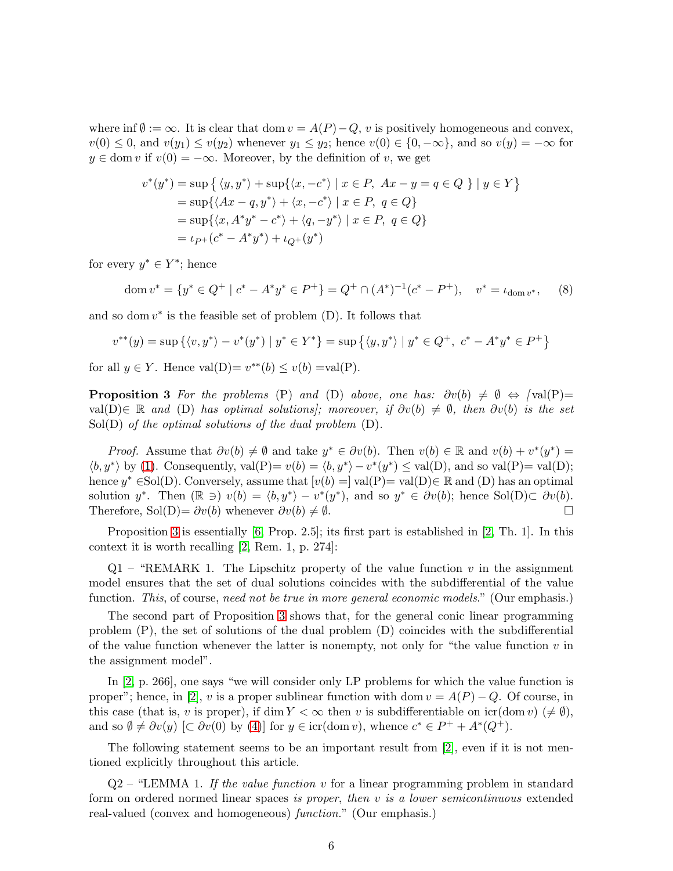where inf  $\emptyset := \infty$ . It is clear that dom  $v = A(P) - Q$ , v is positively homogeneous and convex,  $v(0) \leq 0$ , and  $v(y_1) \leq v(y_2)$  whenever  $y_1 \leq y_2$ ; hence  $v(0) \in \{0, -\infty\}$ , and so  $v(y) = -\infty$  for  $y \in \text{dom } v$  if  $v(0) = -\infty$ . Moreover, by the definition of v, we get

$$
v^*(y^*) = \sup\left\{ \langle y, y^* \rangle + \sup\{\langle x, -c^* \rangle \mid x \in P, Ax - y = q \in Q \} \mid y \in Y \right\}
$$
  
= 
$$
\sup\{\langle Ax - q, y^* \rangle + \langle x, -c^* \rangle \mid x \in P, q \in Q \}
$$
  
= 
$$
\sup\{\langle x, A^*y^* - c^* \rangle + \langle q, -y^* \rangle \mid x \in P, q \in Q \}
$$
  
= 
$$
\iota_{P^+}(c^* - A^*y^*) + \iota_{Q^+}(y^*)
$$

for every  $y^* \in Y^*$ ; hence

<span id="page-5-1"></span>
$$
\operatorname{dom} v^* = \{ y^* \in Q^+ \mid c^* - A^* y^* \in P^+ \} = Q^+ \cap (A^*)^{-1} (c^* - P^+), \quad v^* = \iota_{\operatorname{dom} v^*}, \tag{8}
$$

and so dom  $v^*$  is the feasible set of problem  $(D)$ . It follows that

$$
v^{**}(y) = \sup \{ \langle v, y^* \rangle - v^*(y^*) \mid y^* \in Y^* \} = \sup \{ \langle y, y^* \rangle \mid y^* \in Q^+, \ c^* - A^* y^* \in P^+ \}
$$

<span id="page-5-0"></span>for all  $y \in Y$ . Hence  $val(D) = v^{**}(b) \le v(b) = val(P)$ .

**Proposition 3** For the problems (P) and (D) above, one has:  $\partial v(b) \neq \emptyset \Leftrightarrow \text{val}(P)$ = val(D)∈ R and (D) has optimal solutions]; moreover, if  $\partial v(b) \neq \emptyset$ , then  $\partial v(b)$  is the set  $Sol(D)$  of the optimal solutions of the dual problem  $(D)$ .

*Proof.* Assume that  $\partial v(b) \neq \emptyset$  and take  $y^* \in \partial v(b)$ . Then  $v(b) \in \mathbb{R}$  and  $v(b) + v^*(y^*) =$  $\langle b, y^* \rangle$  by [\(1\)](#page-2-6). Consequently,  $val(P) = v(b) = \langle b, y^* \rangle - v^*(y^*) \le val(D)$ , and so val $(P) = val(D)$ ; hence  $y^* \in Sol(D)$ . Conversely, assume that  $[v(b) =] val(P) = val(D) \in \mathbb{R}$  and  $(D)$  has an optimal solution y<sup>\*</sup>. Then  $(\mathbb{R} \ni) v(b) = \langle b, y^* \rangle - v^*(y^*)$ , and so  $y^* \in \partial v(b)$ ; hence Sol(D) $\subset \partial v(b)$ . Therefore, Sol(D)=  $\partial v(b)$  whenever  $\partial v(b) \neq \emptyset$ .

Proposition [3](#page-5-0) is essentially [\[6,](#page-15-3) Prop. 2.5]; its first part is established in [\[2,](#page-15-0) Th. 1]. In this context it is worth recalling [\[2,](#page-15-0) Rem. 1, p. 274]:

 $Q1$  – "REMARK 1. The Lipschitz property of the value function v in the assignment model ensures that the set of dual solutions coincides with the subdifferential of the value function. This, of course, need not be true in more general economic models." (Our emphasis.)

The second part of Proposition [3](#page-5-0) shows that, for the general conic linear programming problem (P), the set of solutions of the dual problem (D) coincides with the subdifferential of the value function whenever the latter is nonempty, not only for "the value function  $v$  in the assignment model".

In [\[2,](#page-15-0) p. 266], one says "we will consider only LP problems for which the value function is proper"; hence, in [\[2\]](#page-15-0), v is a proper sublinear function with dom  $v = A(P) - Q$ . Of course, in this case (that is, v is proper), if dim  $Y < \infty$  then v is subdifferentiable on icr(dom v) ( $\neq \emptyset$ ), and so  $\emptyset \neq \partial v(y)$  [C  $\partial v(0)$  by [\(4\)](#page-2-3)] for  $y \in \text{icr}(\text{dom } v)$ , whence  $c^* \in P^+ + A^*(Q^+)$ .

The following statement seems to be an important result from [\[2\]](#page-15-0), even if it is not mentioned explicitly throughout this article.

 $Q2$  – "LEMMA 1. If the value function v for a linear programming problem in standard form on ordered normed linear spaces is proper, then v is a lower semicontinuous extended real-valued (convex and homogeneous) function." (Our emphasis.)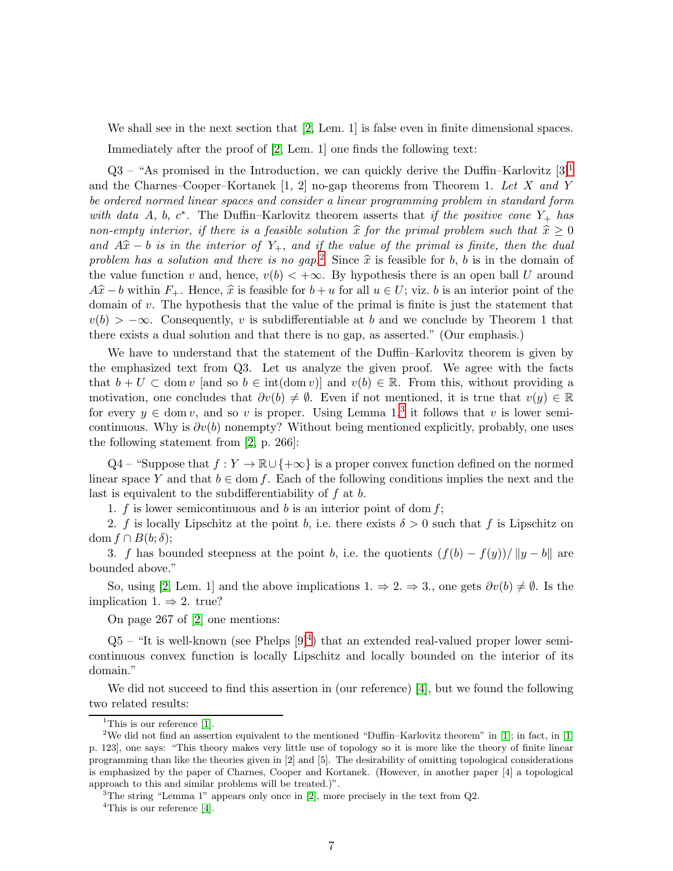We shall see in the next section that [\[2,](#page-15-0) Lem. 1] is false even in finite dimensional spaces.

Immediately after the proof of [\[2,](#page-15-0) Lem. 1] one finds the following text:

 $Q3$  – "As promised in the Introduction, we can quickly derive the Duffin–Karlovitz [3]<sup>[1](#page-6-0)</sup> and the Charnes–Cooper–Kortanek  $[1, 2]$  no-gap theorems from Theorem 1. Let X and Y be ordered normed linear spaces and consider a linear programming problem in standard form with data A, b,  $c^*$ . The Duffin–Karlovitz theorem asserts that if the positive cone  $Y_+$  has non-empty interior, if there is a feasible solution  $\widehat{x}$  for the primal problem such that  $\widehat{x} \ge 0$ and  $A\hat{x} - b$  is in the interior of Y<sub>+</sub>, and if the value of the primal is finite, then the dual problem has a solution and there is no gap.<sup>[2](#page-6-1)</sup> Since  $\hat{x}$  is feasible for b, b is in the domain of the value function v and, hence,  $v(b) < +\infty$ . By hypothesis there is an open ball U around  $A\hat{x} - b$  within  $F_+$ . Hence,  $\hat{x}$  is feasible for  $b + u$  for all  $u \in U$ ; viz. b is an interior point of the domain of v. The hypothesis that the value of the primal is finite is just the statement that  $v(b) > -\infty$ . Consequently, v is subdifferentiable at b and we conclude by Theorem 1 that there exists a dual solution and that there is no gap, as asserted." (Our emphasis.)

We have to understand that the statement of the Duffin–Karlovitz theorem is given by the emphasized text from Q3. Let us analyze the given proof. We agree with the facts that  $b + U \subset \text{dom } v$  [and so  $b \in \text{int}(\text{dom } v)$ ] and  $v(b) \in \mathbb{R}$ . From this, without providing a motivation, one concludes that  $\partial v(b) \neq \emptyset$ . Even if not mentioned, it is true that  $v(y) \in \mathbb{R}$ for every  $y \in \text{dom } v$ , and so v is proper. Using Lemma 1,<sup>[3](#page-6-2)</sup> it follows that v is lower semicontinuous. Why is  $\partial v(b)$  nonempty? Without being mentioned explicitly, probably, one uses the following statement from [\[2,](#page-15-0) p. 266]:

Q4 – "Suppose that  $f: Y \to \mathbb{R} \cup \{+\infty\}$  is a proper convex function defined on the normed linear space Y and that  $b \in \text{dom } f$ . Each of the following conditions implies the next and the last is equivalent to the subdifferentiability of  $f$  at  $b$ .

1. f is lower semicontinuous and b is an interior point of dom  $f$ ;

2. f is locally Lipschitz at the point b, i.e. there exists  $\delta > 0$  such that f is Lipschitz on dom  $f \cap B(b; \delta)$ ;

3. f has bounded steepness at the point b, i.e. the quotients  $(f(b) - f(y))/||y - b||$  are bounded above."

So, using [\[2,](#page-15-0) Lem. 1] and the above implications  $1. \Rightarrow 2. \Rightarrow 3.$ , one gets  $\partial v(b) \neq \emptyset$ . Is the implication 1.  $\Rightarrow$  2. true?

On page 267 of [\[2\]](#page-15-0) one mentions:

 $Q5$  – "It is well-known (see Phelps  $[9]^4$  $[9]^4$ ) that an extended real-valued proper lower semicontinuous convex function is locally Lipschitz and locally bounded on the interior of its domain."

We did not succeed to find this assertion in (our reference) [\[4\]](#page-15-4), but we found the following two related results:

<sup>3</sup>The string "Lemma 1" appears only once in [\[2\]](#page-15-0), more precisely in the text from  $Q2$ .

<span id="page-6-3"></span><span id="page-6-2"></span><sup>4</sup>This is our reference [\[4\]](#page-15-4).

<span id="page-6-0"></span><sup>&</sup>lt;sup>1</sup>This is our reference  $[1]$ .

<span id="page-6-1"></span><sup>&</sup>lt;sup>2</sup>We did not find an assertion equivalent to the mentioned "Duffin–Karlovitz theorem" in [\[1\]](#page-15-5); in fact, in [\[1,](#page-15-5) p. 123], one says: "This theory makes very little use of topology so it is more like the theory of finite linear programming than like the theories given in [2] and [5]. The desirability of omitting topological considerations is emphasized by the paper of Charnes, Cooper and Kortanek. (However, in another paper [4] a topological approach to this and similar problems will be treated.)".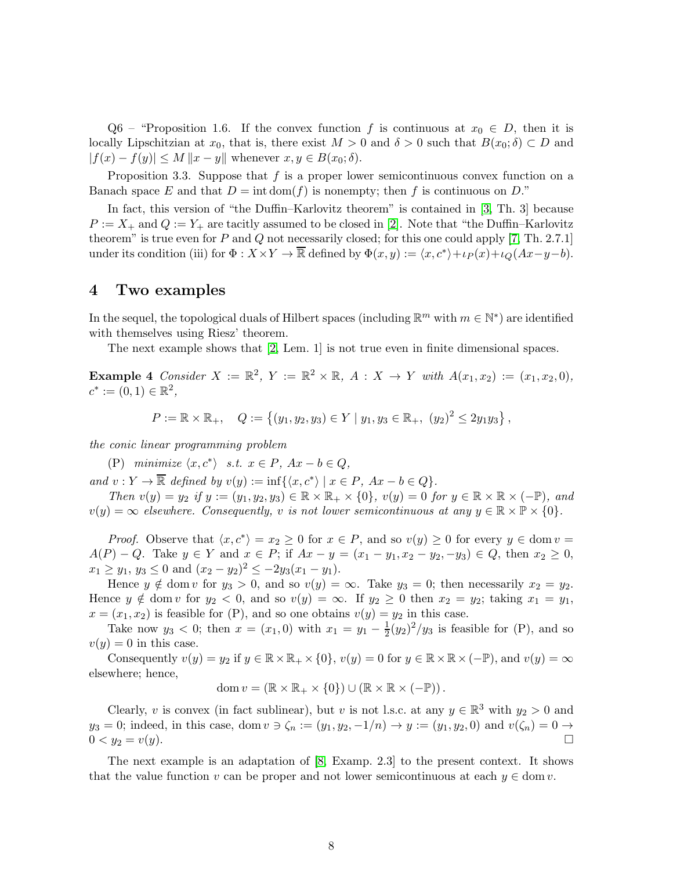Q6 – "Proposition 1.6. If the convex function f is continuous at  $x_0 \in D$ , then it is locally Lipschitzian at  $x_0$ , that is, there exist  $M > 0$  and  $\delta > 0$  such that  $B(x_0; \delta) \subset D$  and  $|f(x) - f(y)| \leq M \|x - y\|$  whenever  $x, y \in B(x_0; \delta)$ .

Proposition 3.3. Suppose that  $f$  is a proper lower semicontinuous convex function on a Banach space E and that  $D = \text{int dom}(f)$  is nonempty; then f is continuous on D."

In fact, this version of "the Duffin–Karlovitz theorem" is contained in [\[3,](#page-15-6) Th. 3] because  $P := X_+$  and  $Q := Y_+$  are tacitly assumed to be closed in [\[2\]](#page-15-0). Note that "the Duffin–Karlovitz theorem" is true even for P and Q not necessarily closed; for this one could apply [\[7,](#page-15-1) Th. 2.7.1] under its condition (iii) for  $\Phi: X \times Y \to \overline{\mathbb{R}}$  defined by  $\Phi(x, y) := \langle x, c^* \rangle + \iota_P(x) + \iota_Q(Ax - y - b)$ .

#### 4 Two examples

In the sequel, the topological duals of Hilbert spaces (including  $\mathbb{R}^m$  with  $m \in \mathbb{N}^*$ ) are identified with themselves using Riesz' theorem.

<span id="page-7-0"></span>The next example shows that [\[2,](#page-15-0) Lem. 1] is not true even in finite dimensional spaces.

**Example 4** Consider  $X := \mathbb{R}^2$ ,  $Y := \mathbb{R}^2 \times \mathbb{R}$ ,  $A : X \to Y$  with  $A(x_1, x_2) := (x_1, x_2, 0)$ ,  $c^* := (0,1) \in \mathbb{R}^2$ ,

$$
P := \mathbb{R} \times \mathbb{R}_+, \quad Q := \left\{ (y_1, y_2, y_3) \in Y \mid y_1, y_3 \in \mathbb{R}_+, \ (y_2)^2 \le 2y_1y_3 \right\},\
$$

the conic linear programming problem

(P) minimize  $\langle x, c^* \rangle$  s.t.  $x \in P$ ,  $Ax - b \in Q$ ,

and  $v: Y \to \overline{\mathbb{R}}$  defined by  $v(y) := \inf \{ \langle x, c^* \rangle \mid x \in P, Ax - b \in Q \}.$ 

Then  $v(y) = y_2$  if  $y := (y_1, y_2, y_3) \in \mathbb{R} \times \mathbb{R}_+ \times \{0\}$ ,  $v(y) = 0$  for  $y \in \mathbb{R} \times \mathbb{R} \times (-\mathbb{P})$ , and  $v(y) = \infty$  elsewhere. Consequently, v is not lower semicontinuous at any  $y \in \mathbb{R} \times \mathbb{P} \times \{0\}$ .

*Proof.* Observe that  $\langle x, c^* \rangle = x_2 \ge 0$  for  $x \in P$ , and so  $v(y) \ge 0$  for every  $y \in \text{dom } v =$  $A(P) - Q$ . Take  $y \in Y$  and  $x \in P$ ; if  $Ax - y = (x_1 - y_1, x_2 - y_2, -y_3) \in Q$ , then  $x_2 \ge 0$ ,  $x_1 \ge y_1, y_3 \le 0$  and  $(x_2 - y_2)^2 \le -2y_3(x_1 - y_1)$ .

Hence  $y \notin \text{dom } v$  for  $y_3 > 0$ , and so  $v(y) = \infty$ . Take  $y_3 = 0$ ; then necessarily  $x_2 = y_2$ . Hence  $y \notin \text{dom } v$  for  $y_2 < 0$ , and so  $v(y) = \infty$ . If  $y_2 \geq 0$  then  $x_2 = y_2$ ; taking  $x_1 = y_1$ ,  $x = (x_1, x_2)$  is feasible for (P), and so one obtains  $v(y) = y_2$  in this case.

Take now  $y_3 < 0$ ; then  $x = (x_1, 0)$  with  $x_1 = y_1 - \frac{1}{2}$  $\frac{1}{2}(y_2)^2/y_3$  is feasible for (P), and so  $v(y) = 0$  in this case.

Consequently  $v(y) = y_2$  if  $y \in \mathbb{R} \times \mathbb{R}_+ \times \{0\}$ ,  $v(y) = 0$  for  $y \in \mathbb{R} \times \mathbb{R} \times (-\mathbb{P})$ , and  $v(y) = \infty$ elsewhere; hence,

$$
\operatorname{dom} v = (\mathbb{R} \times \mathbb{R}_+ \times \{0\}) \cup (\mathbb{R} \times \mathbb{R} \times (-\mathbb{P})).
$$

Clearly, v is convex (in fact sublinear), but v is not l.s.c. at any  $y \in \mathbb{R}^3$  with  $y_2 > 0$  and  $y_3 = 0$ ; indeed, in this case, dom  $v \ni \zeta_n := (y_1, y_2, -1/n) \rightarrow y := (y_1, y_2, 0)$  and  $v(\zeta_n) = 0 \rightarrow 0 \leq v_2 = v(u)$ .  $0 < y_2 = v(y)$ .

<span id="page-7-1"></span>The next example is an adaptation of [\[8,](#page-15-7) Examp. 2.3] to the present context. It shows that the value function v can be proper and not lower semicontinuous at each  $y \in \text{dom } v$ .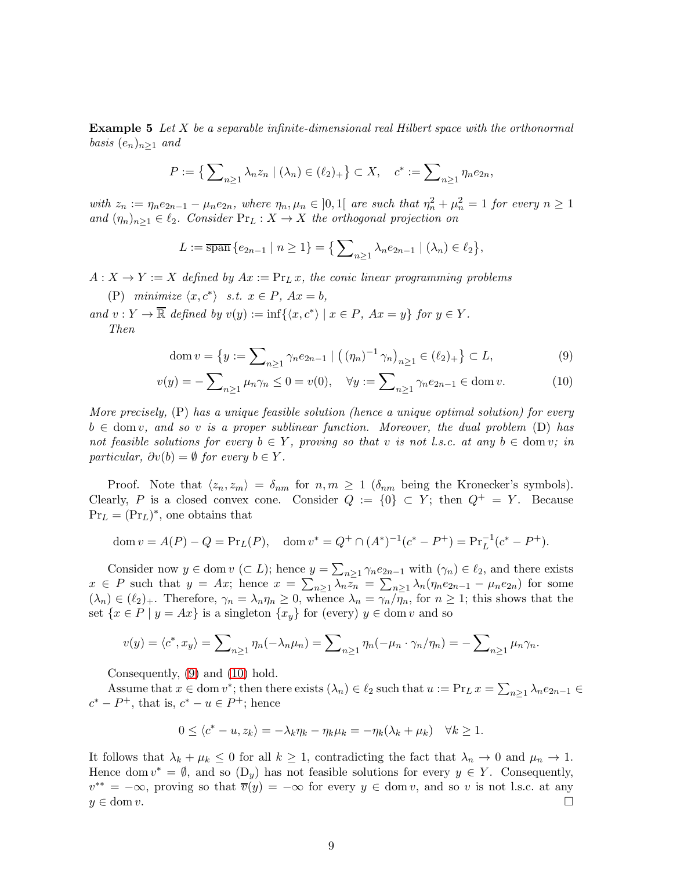**Example 5** Let  $X$  be a separable infinite-dimensional real Hilbert space with the orthonormal basis  $(e_n)_{n\geq 1}$  and

$$
P := \{ \sum_{n \ge 1} \lambda_n z_n \mid (\lambda_n) \in (\ell_2)_+ \} \subset X, \quad c^* := \sum_{n \ge 1} \eta_n e_{2n},
$$

with  $z_n := \eta_n e_{2n-1} - \mu_n e_{2n}$ , where  $\eta_n, \mu_n \in ]0,1[$  are such that  $\eta_n^2 + \mu_n^2 = 1$  for every  $n \ge 1$ and  $(\eta_n)_{n>1} \in \ell_2$ . Consider  $\Pr_L : X \to X$  the orthogonal projection on

$$
L := \overline{\text{span}} \{ e_{2n-1} \mid n \geq 1 \} = \{ \sum_{n \geq 1} \lambda_n e_{2n-1} \mid (\lambda_n) \in \ell_2 \},
$$

 $A: X \to Y := X$  defined by  $Ax := Pr_L x$ , the conic linear programming problems

(P) minimize  $\langle x, c^* \rangle$  s.t.  $x \in P$ ,  $Ax = b$ ,

and  $v: Y \to \overline{\mathbb{R}}$  defined by  $v(y) := \inf \{ \langle x, c^* \rangle \mid x \in P, Ax = y \}$  for  $y \in Y$ . Then

<span id="page-8-1"></span><span id="page-8-0"></span>dom 
$$
v = \{ y := \sum_{n \ge 1} \gamma_n e_{2n-1} \mid ((\eta_n)^{-1} \gamma_n)_{n \ge 1} \in (\ell_2)_+ \} \subset L,
$$
 (9)

$$
v(y) = -\sum_{n\geq 1} \mu_n \gamma_n \leq 0 = v(0), \quad \forall y := \sum_{n\geq 1} \gamma_n e_{2n-1} \in \text{dom } v. \tag{10}
$$

More precisely, (P) has a unique feasible solution (hence a unique optimal solution) for every  $b \in \text{dom } v$ , and so v is a proper sublinear function. Moreover, the dual problem (D) has not feasible solutions for every  $b \in Y$ , proving so that v is not l.s.c. at any  $b \in \text{dom } v$ ; in particular,  $\partial v(b) = \emptyset$  for every  $b \in Y$ .

Proof. Note that  $\langle z_n, z_m \rangle = \delta_{nm}$  for  $n, m \geq 1$  ( $\delta_{nm}$  being the Kronecker's symbols). Clearly, P is a closed convex cone. Consider  $Q := \{0\} \subset Y$ ; then  $Q^+ = Y$ . Because  $\Pr_L = (\Pr_L)^*$ , one obtains that

$$
\operatorname{dom} v = A(P) - Q = \operatorname{Pr}_{L}(P), \quad \operatorname{dom} v^* = Q^+ \cap (A^*)^{-1}(c^* - P^+) = \operatorname{Pr}_{L}^{-1}(c^* - P^+).
$$

Consider now  $y \in \text{dom } v \ (\subset L)$ ; hence  $y = \sum_{n \geq 1} \gamma_n e_{2n-1}$  with  $(\gamma_n) \in \ell_2$ , and there exists  $x \in P$  such that  $y = Ax$ ; hence  $x = \sum_{n\geq 1} \lambda_n z_n = \sum_{n\geq 1} \lambda_n (\eta_n e_{2n-1} - \mu_n e_{2n})$  for some  $(\lambda_n) \in (\ell_2)_+$ . Therefore,  $\gamma_n = \lambda_n \eta_n \geq 0$ , whence  $\lambda_n = \gamma_n / \overline{\eta_n}$ , for  $n \geq 1$ ; this shows that the set  $\{x \in P \mid y = Ax\}$  is a singleton  $\{x_y\}$  for (every)  $y \in \text{dom } v$  and so

$$
v(y) = \langle c^*, x_y \rangle = \sum_{n \ge 1} \eta_n(-\lambda_n \mu_n) = \sum_{n \ge 1} \eta_n(-\mu_n \cdot \gamma_n/\eta_n) = -\sum_{n \ge 1} \mu_n \gamma_n.
$$

Consequently, [\(9\)](#page-8-0) and [\(10\)](#page-8-1) hold.

Assume that  $x \in \text{dom } v^*$ ; then there exists  $(\lambda_n) \in \ell_2$  such that  $u := \Pr_L x = \sum_{n \geq 1} \lambda_n e_{2n-1} \in$  $c^* - P^+$ , that is,  $c^* - u \in P^+$ ; hence

$$
0 \le \langle c^* - u, z_k \rangle = -\lambda_k \eta_k - \eta_k \mu_k = -\eta_k(\lambda_k + \mu_k) \quad \forall k \ge 1.
$$

It follows that  $\lambda_k + \mu_k \leq 0$  for all  $k \geq 1$ , contradicting the fact that  $\lambda_n \to 0$  and  $\mu_n \to 1$ . Hence dom  $v^* = \emptyset$ , and so  $(D_y)$  has not feasible solutions for every  $y \in Y$ . Consequently,  $v^{**} = -\infty$ , proving so that  $\overline{v}(y) = -\infty$  for every  $y \in \text{dom } v$ , and so v is not l.s.c. at any  $y \in \text{dom } v.$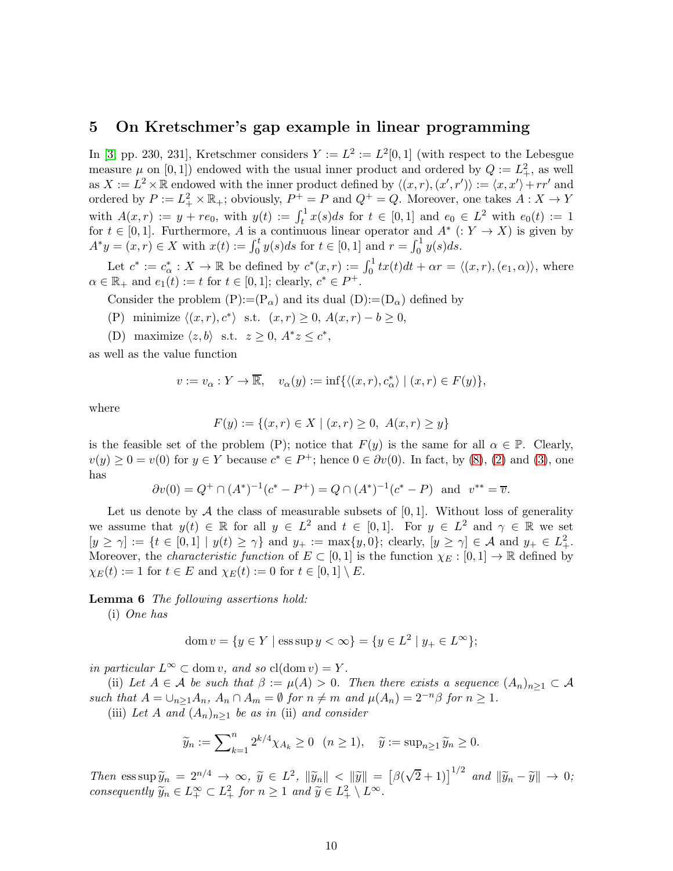#### 5 On Kretschmer's gap example in linear programming

In [\[3,](#page-15-6) pp. 230, 231], Kretschmer considers  $Y := L^2 := L^2[0,1]$  (with respect to the Lebesgue measure  $\mu$  on [0,1]) endowed with the usual inner product and ordered by  $Q := L_+^2$ , as well as  $X := L^2 \times \mathbb{R}$  endowed with the inner product defined by  $\langle (x, r), (x', r') \rangle := \langle x, x' \rangle + rr'$  and ordered by  $P := L_+^2 \times \mathbb{R}_+$ ; obviously,  $P^+ = P$  and  $Q^+ = Q$ . Moreover, one takes  $A : X \to Y$ with  $A(x,r) := y + re_0$ , with  $y(t) := \int_t^1 x(s)ds$  for  $t \in [0,1]$  and  $e_0 \in L^2$  with  $e_0(t) := 1$ for  $t \in [0,1]$ . Furthermore, A is a continuous linear operator and  $A^*$  (:  $Y \to X$ ) is given by  $A^*y = (x, r) \in X$  with  $x(t) := \int_0^t y(s)ds$  for  $t \in [0, 1]$  and  $r = \int_0^1 y(s)ds$ .

Let  $c^* := c^*_{\alpha} : X \to \mathbb{R}$  be defined by  $c^*(x,r) := \int_0^1 tx(t)dt + \alpha r = \langle (x,r), (e_1, \alpha) \rangle$ , where  $\alpha \in \mathbb{R}_+$  and  $e_1(t) := t$  for  $t \in [0,1]$ ; clearly,  $c^* \in P^+$ .

Consider the problem  $(P) := (P_{\alpha})$  and its dual  $(D) := (D_{\alpha})$  defined by

- (P) minimize  $\langle (x, r), c^* \rangle$  s.t.  $(x, r) \ge 0$ ,  $A(x, r) b \ge 0$ ,
- (D) maximize  $\langle z, b \rangle$  s.t.  $z \geq 0$ ,  $A^*z \leq c^*$ ,

as well as the value function

$$
v := v_{\alpha} : Y \to \overline{\mathbb{R}}, \quad v_{\alpha}(y) := \inf \{ \langle (x, r), c_{\alpha}^* \rangle \mid (x, r) \in F(y) \},
$$

where

$$
F(y) := \{(x, r) \in X \mid (x, r) \ge 0, \ A(x, r) \ge y\}
$$

is the feasible set of the problem (P); notice that  $F(y)$  is the same for all  $\alpha \in \mathbb{P}$ . Clearly,  $v(y) \ge 0 = v(0)$  for  $y \in Y$  because  $c^* \in P^+$ ; hence  $0 \in \partial v(0)$ . In fact, by [\(8\)](#page-5-1), [\(2\)](#page-2-4) and [\(3\)](#page-2-5), one has

$$
\partial v(0) = Q^+ \cap (A^*)^{-1}(c^* - P^+) = Q \cap (A^*)^{-1}(c^* - P) \text{ and } v^{**} = \overline{v}.
$$

Let us denote by  $A$  the class of measurable subsets of  $[0, 1]$ . Without loss of generality we assume that  $y(t) \in \mathbb{R}$  for all  $y \in L^2$  and  $t \in [0,1]$ . For  $y \in L^2$  and  $\gamma \in \mathbb{R}$  we set  $[y \ge \gamma] := \{t \in [0,1] \mid y(t) \ge \gamma\}$  and  $y_+ := \max\{y,0\}$ ; clearly,  $[y \ge \gamma] \in \mathcal{A}$  and  $y_+ \in L^2_+$ . Moreover, the *characteristic function* of  $E \subset [0, 1]$  is the function  $\chi_E : [0, 1] \to \mathbb{R}$  defined by  $\chi_E(t) := 1$  for  $t \in E$  and  $\chi_E(t) := 0$  for  $t \in [0,1] \setminus E$ .

<span id="page-9-0"></span>Lemma 6 The following assertions hold:

(i) One has

$$
\text{dom } v = \{ y \in Y \mid \text{ess } \text{sup } y < \infty \} = \{ y \in L^2 \mid y_+ \in L^{\infty} \};
$$

in particular  $L^{\infty} \subset \text{dom } v$ , and so  $\text{cl}(\text{dom } v) = Y$ .

(ii) Let  $A \in \mathcal{A}$  be such that  $\beta := \mu(A) > 0$ . Then there exists a sequence  $(A_n)_{n \geq 1} \subset \mathcal{A}$ such that  $A = \bigcup_{n>1} A_n$ ,  $A_n \cap A_m = \emptyset$  for  $n \neq m$  and  $\mu(A_n) = 2^{-n}\beta$  for  $n \geq 1$ .

(iii) Let A and  $(A_n)_{n>1}$  be as in (ii) and consider

$$
\widetilde{y}_n := \sum_{k=1}^n 2^{k/4} \chi_{A_k} \ge 0 \quad (n \ge 1), \quad \widetilde{y} := \sup_{n \ge 1} \widetilde{y}_n \ge 0.
$$

Then  $\text{ess}\sup_{u} \widetilde{y}_n = 2^{n/4} \to \infty$ ,  $\widetilde{y} \in L^2$ ,  $\|\widetilde{y}_n\| < \|\widetilde{y}\| = [\beta(\sqrt{2}+1)]^{1/2}$  and  $\|\widetilde{y}_n - \widetilde{y}\| \to 0$ ; consequently  $\widetilde{y}_n \in L_+^{\infty} \subset L_+^2$  for  $n \geq 1$  and  $\widetilde{y} \in L_+^2 \setminus L^{\infty}$ .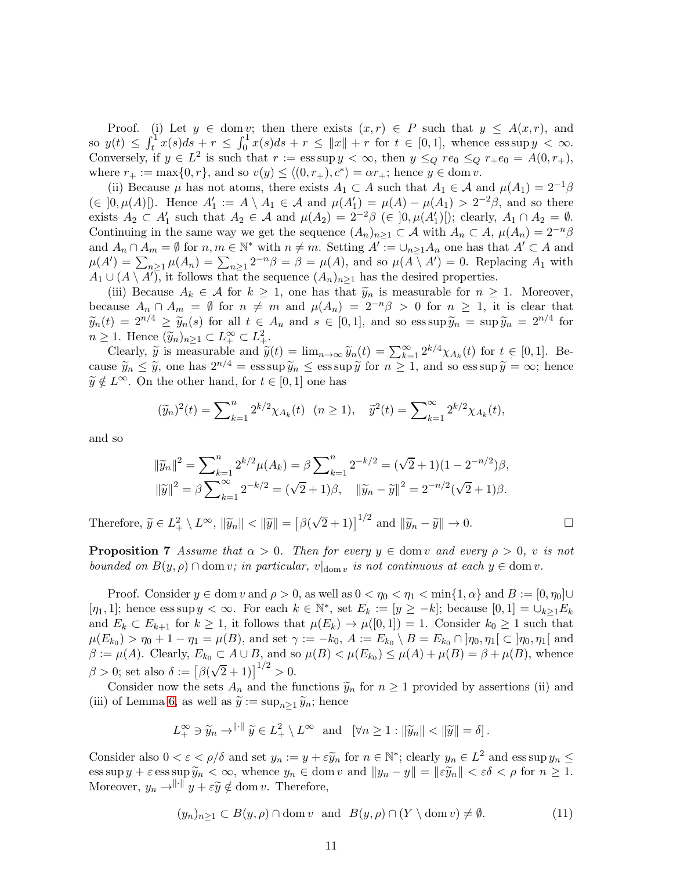Proof. (i) Let  $y \in \text{dom } v$ ; then there exists  $(x, r) \in P$  such that  $y \leq A(x, r)$ , and so  $y(t) \leq \int_t^1 x(s)ds + r \leq \int_0^1 x(s)ds + r \leq ||x|| + r$  for  $t \in [0,1]$ , whence  $\operatorname{ess} \sup y < \infty$ . Conversely, if  $y \in L^2$  is such that  $r := \operatorname{ess} \sup y < \infty$ , then  $y \leq_Q r e_0 \leq_Q r + e_0 = A(0, r_+),$ where  $r_+ := \max\{0, r\}$ , and so  $v(y) \le \langle (0, r_+), c^* \rangle = \alpha r_+$ ; hence  $y \in \text{dom } v$ .

(ii) Because  $\mu$  has not atoms, there exists  $A_1 \subset A$  such that  $A_1 \in \mathcal{A}$  and  $\mu(A_1) = 2^{-1}\beta$  $(\in [0, \mu(A)])$ . Hence  $A'_1 := A \setminus A_1 \in \mathcal{A}$  and  $\mu(A'_1) = \mu(A) - \mu(A_1) > 2^{-2}\beta$ , and so there exists  $A_2 \subset A'_1$  such that  $A_2 \in \mathcal{A}$  and  $\mu(A_2) = 2^{-2}\beta \in ]0, \mu(A'_1)]$ ; clearly,  $A_1 \cap A_2 = \emptyset$ . Continuing in the same way we get the sequence  $(A_n)_{n\geq 1} \subset A$  with  $A_n \subset A$ ,  $\mu(A_n) = 2^{-n}\beta$ and  $A_n \cap A_m = \emptyset$  for  $n, m \in \mathbb{N}^*$  with  $n \neq m$ . Setting  $A' := \bigcup_{n \geq 1} A_n$  one has that  $A' \subset A$  and  $\mu(A') = \sum_{n\geq 1} \mu(A_n) = \sum_{n\geq 1} 2^{-n}\beta = \beta = \mu(A)$ , and so  $\mu(A \setminus A') = 0$ . Replacing  $A_1$  with  $A_1 \cup (A \setminus A')$ , it follows that the sequence  $(A_n)_{n \geq 1}$  has the desired properties.

(iii) Because  $A_k \in \mathcal{A}$  for  $k \geq 1$ , one has that  $\tilde{y}_n$  is measurable for  $n \geq 1$ . Moreover, because  $A_n \cap A_m = \emptyset$  for  $n \neq m$  and  $\mu(A_n) = 2^{-n}\beta > 0$  for  $n \geq 1$ , it is clear that  $\widetilde{y}_n(t) = 2^{n/4} \ge \widetilde{y}_n(s)$  for all  $t \in A_n$  and  $s \in [0,1]$ , and so ess sup  $\widetilde{y}_n = \sup \widetilde{y}_n = 2^{n/4}$  for  $n \geq 1$ . Hence  $(\widetilde{y}_n)_{n \geq 1} \subset L^{\infty}_{+} \subset L^{2}_{+}$ .

Clearly,  $\widetilde{y}$  is measurable and  $\widetilde{y}(t) = \lim_{n \to \infty} \widetilde{y}_n(t) = \sum_{k=1}^{\infty} 2^{k/4} \chi_{A_k}(t)$  for  $t \in [0, 1]$ . Because  $\widetilde{y}_n \leq \widetilde{y}$ , one has  $2^{n/4} = \operatorname{ess} \sup \widetilde{y}_n \leq \operatorname{ess} \sup \widetilde{y}$  for  $n \geq 1$ , and so  $\operatorname{ess} \sup \widetilde{y} = \infty$ ; hence  $\widetilde{y} \notin L^{\infty}$ . On the other hand, for  $t \in [0, 1]$  one has

$$
(\widetilde{y}_n)^2(t) = \sum_{k=1}^n 2^{k/2} \chi_{A_k}(t) \quad (n \ge 1), \quad \widetilde{y}^2(t) = \sum_{k=1}^\infty 2^{k/2} \chi_{A_k}(t),
$$

and so

$$
\|\tilde{y}_n\|^2 = \sum_{k=1}^n 2^{k/2} \mu(A_k) = \beta \sum_{k=1}^n 2^{-k/2} = (\sqrt{2} + 1)(1 - 2^{-n/2})\beta,
$$
  

$$
\|\tilde{y}\|^2 = \beta \sum_{k=1}^\infty 2^{-k/2} = (\sqrt{2} + 1)\beta, \quad \|\tilde{y}_n - \tilde{y}\|^2 = 2^{-n/2}(\sqrt{2} + 1)\beta.
$$

<span id="page-10-1"></span>Therefore,  $\widetilde{y} \in L^2_+ \setminus L^{\infty}$ ,  $\|\widetilde{y}_n\| < \|\widetilde{y}\| = [\beta(\sqrt{2}+1)]^{1/2}$  and  $\|\widetilde{y}_n - \widetilde{y}\| \to 0$ .

**Proposition 7** Assume that  $\alpha > 0$ . Then for every  $y \in \text{dom } v$  and every  $\rho > 0$ , v is not bounded on  $B(y, \rho) \cap \text{dom } v$ ; in particular,  $v|_{\text{dom } v}$  is not continuous at each  $y \in \text{dom } v$ .

Proof. Consider  $y \in \text{dom } v$  and  $\rho > 0$ , as well as  $0 < \eta_0 < \eta_1 < \min\{1, \alpha\}$  and  $B := [0, \eta_0] \cup$ [ $\eta_1, 1$ ]; hence ess sup  $y < \infty$ . For each  $k \in \mathbb{N}^*$ , set  $E_k := [y \ge -k]$ ; because  $[0, 1] = \cup_{k \ge 1} E_k$ and  $E_k \subset E_{k+1}$  for  $k \geq 1$ , it follows that  $\mu(E_k) \to \mu([0,1]) = 1$ . Consider  $k_0 \geq 1$  such that  $\mu(E_{k_0}) > \eta_0 + 1 - \eta_1 = \mu(B)$ , and set  $\gamma := -k_0$ ,  $A := E_{k_0} \setminus B = E_{k_0} \cap \eta_0, \eta_1 \in \eta_0, \eta_1$  and  $\beta := \mu(A)$ . Clearly,  $E_{k_0} \subset A \cup B$ , and so  $\mu(B) < \mu(E_{k_0}) \leq \mu(A) + \mu(B) = \beta + \mu(B)$ , whence  $\beta > 0$ ; set also  $\delta := [\beta(\sqrt{2} + 1)]^{1/2} > 0$ .

Consider now the sets  $A_n$  and the functions  $\widetilde{y}_n$  for  $n \geq 1$  provided by assertions (ii) and (iii) of Lemma [6,](#page-9-0) as well as  $\tilde{y} := \sup_{n>1} \tilde{y}_n$ ; hence

$$
L_+^{\infty} \ni \widetilde{y}_n \to^{\|\cdot\|} \widetilde{y} \in L_+^2 \setminus L^{\infty} \text{ and } [\forall n \geq 1 : \|\widetilde{y}_n\| < \|\widetilde{y}\| = \delta].
$$

Consider also  $0 < \varepsilon < \rho/\delta$  and set  $y_n := y + \varepsilon \widetilde{y}_n$  for  $n \in \mathbb{N}^*$ ; clearly  $y_n \in L^2$  and ess sup  $y_n \leq$  $\text{ess}\sup y + \varepsilon \text{ess}\sup \widetilde{y}_n < \infty$ , whence  $y_n \in \text{dom } v$  and  $||y_n - y|| = ||\varepsilon \widetilde{y}_n|| < \varepsilon \delta < \rho$  for  $n \ge 1$ . Moreover,  $y_n \rightarrow^{\|\cdot\|} y + \varepsilon \widetilde{y} \notin \text{dom } v$ . Therefore,

<span id="page-10-0"></span>
$$
(y_n)_{n\geq 1} \subset B(y,\rho) \cap \text{dom } v \quad \text{and} \quad B(y,\rho) \cap (Y \setminus \text{dom } v) \neq \emptyset. \tag{11}
$$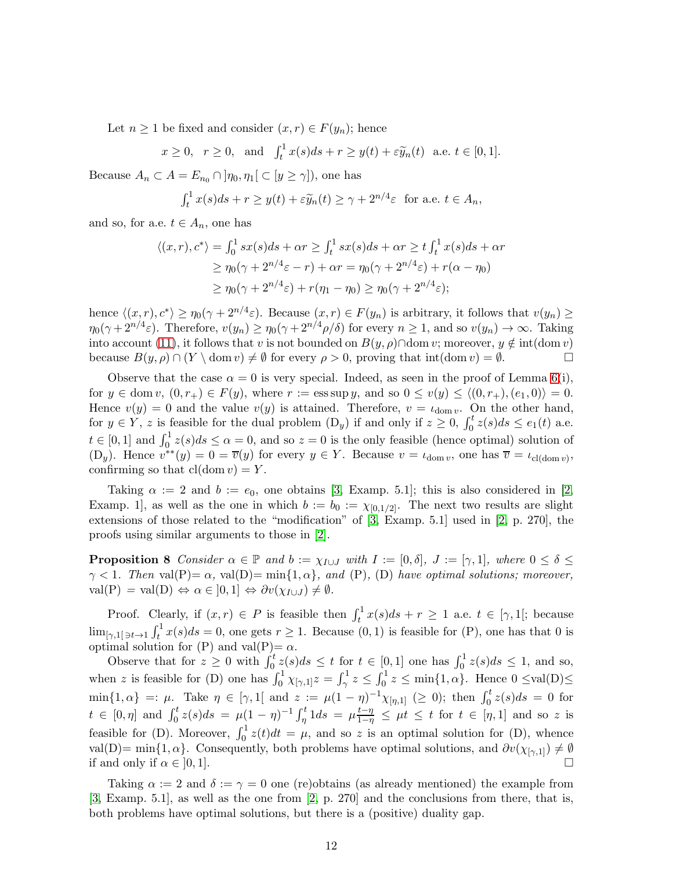Let  $n \geq 1$  be fixed and consider  $(x, r) \in F(y_n)$ ; hence

$$
x \ge 0
$$
,  $r \ge 0$ , and  $\int_t^1 x(s)ds + r \ge y(t) + \varepsilon \widetilde{y}_n(t)$  a.e.  $t \in [0, 1]$ .

Because  $A_n \subset A = E_{n_0} \cap [\eta_0, \eta_1] \subset [y \ge \gamma]$ , one has

$$
\int_t^1 x(s)ds + r \ge y(t) + \varepsilon \widetilde{y}_n(t) \ge \gamma + 2^{n/4}\varepsilon \text{ for a.e. } t \in A_n,
$$

and so, for a.e.  $t \in A_n$ , one has

$$
\langle (x,r), c^* \rangle = \int_0^1 sx(s)ds + \alpha r \ge \int_t^1 sx(s)ds + \alpha r \ge t \int_t^1 x(s)ds + \alpha r
$$
  
\n
$$
\ge \eta_0(\gamma + 2^{n/4}\varepsilon - r) + \alpha r = \eta_0(\gamma + 2^{n/4}\varepsilon) + r(\alpha - \eta_0)
$$
  
\n
$$
\ge \eta_0(\gamma + 2^{n/4}\varepsilon) + r(\eta_1 - \eta_0) \ge \eta_0(\gamma + 2^{n/4}\varepsilon);
$$

hence  $\langle (x, r), c^* \rangle \ge \eta_0(\gamma + 2^{n/4}\varepsilon)$ . Because  $(x, r) \in F(y_n)$  is arbitrary, it follows that  $v(y_n) \ge$  $\eta_0(\gamma + 2^{n/4}\varepsilon)$ . Therefore,  $v(y_n) \ge \eta_0(\gamma + 2^{n/4}\rho/\delta)$  for every  $n \ge 1$ , and so  $v(y_n) \to \infty$ . Taking into account [\(11\)](#page-10-0), it follows that v is not bounded on  $B(y, \rho) \cap \text{dom } v$ ; moreover,  $y \notin \text{int}(\text{dom } v)$ <br>because  $B(u, \rho) \cap (Y \setminus \text{dom } v) \neq \emptyset$  for every  $\rho > 0$ , proving that  $\text{int}(\text{dom } v) = \emptyset$ . because  $B(y, \rho) \cap (Y \setminus \text{dom } v) \neq \emptyset$  for every  $\rho > 0$ , proving that int(dom  $v$ ) =  $\emptyset$ .

Observe that the case  $\alpha = 0$  is very special. Indeed, as seen in the proof of Lemma [6\(](#page-9-0)i), for  $y \in \text{dom } v, (0, r_+) \in F(y)$ , where  $r := \text{ess } \text{sup } y$ , and so  $0 \le v(y) \le \langle (0, r_+), (e_1, 0) \rangle = 0$ . Hence  $v(y) = 0$  and the value  $v(y)$  is attained. Therefore,  $v = \iota_{\text{dom } v}$ . On the other hand, for  $y \in Y$ , z is feasible for the dual problem  $(D_y)$  if and only if  $z \ge 0$ ,  $\int_0^t z(s)ds \le e_1(t)$  a.e.  $t \in [0,1]$  and  $\int_0^1 z(s)ds \leq \alpha = 0$ , and so  $z = 0$  is the only feasible (hence optimal) solution of (D<sub>y</sub>). Hence  $v^{**}(y) = 0 = \overline{v}(y)$  for every  $y \in Y$ . Because  $v = \iota_{\text{dom } v}$ , one has  $\overline{v} = \iota_{\text{cl}(\text{dom } v)}$ , confirming so that  $cl(\text{dom } v) = Y$ .

Taking  $\alpha := 2$  and  $b := e_0$ , one obtains [\[3,](#page-15-6) Examp. 5.1]; this is also considered in [\[2,](#page-15-0) Examp. 1, as well as the one in which  $b := b_0 := \chi_{[0,1/2]}$ . The next two results are slight extensions of those related to the "modification" of [\[3,](#page-15-6) Examp. 5.1] used in [\[2,](#page-15-0) p. 270], the proofs using similar arguments to those in [\[2\]](#page-15-0).

<span id="page-11-0"></span>**Proposition 8** Consider  $\alpha \in \mathbb{P}$  and  $b := \chi_{I \cup J}$  with  $I := [0, \delta], J := [\gamma, 1],$  where  $0 \le \delta \le \delta$  $\gamma$  < 1. Then val(P)=  $\alpha$ , val(D)= min{1,  $\alpha$ }, and (P), (D) have optimal solutions; moreover,  $val(P) = val(D) \Leftrightarrow \alpha \in [0,1] \Leftrightarrow \partial v(\chi_{I \cup J}) \neq \emptyset.$ 

Proof. Clearly, if  $(x, r) \in P$  is feasible then  $\int_t^1 x(s)ds + r \ge 1$  a.e.  $t \in [\gamma, 1]$ ; because  $\lim_{[\gamma,1]\ni t\to 1} \int_t^1 x(s)ds = 0$ , one gets  $r \ge 1$ . Because  $(0,1)$  is feasible for  $(P)$ , one has that 0 is optimal solution for (P) and val(P)=  $\alpha$ .

Observe that for  $z \geq 0$  with  $\int_0^t z(s)ds \leq t$  for  $t \in [0,1]$  one has  $\int_0^1 z(s)ds \leq 1$ , and so, when z is feasible for (D) one has  $\int_0^1 \chi_{[\gamma,1]} z = \int_\gamma^1 z \leq \int_0^1 z \leq \min\{1,\alpha\}$ . Hence  $0 \leq \text{val}(D) \leq$  $\min\{1,\alpha\} =: \mu.$  Take  $\eta \in [\gamma,1]$  and  $z := \mu(1-\eta)^{-1}\chi_{[\eta,1]} \geq 0$ ; then  $\int_0^t z(s)ds = 0$  for  $t \in [0, \eta]$  and  $\int_0^t z(s)ds = \mu(1-\eta)^{-1} \int_{\eta}^t 1ds = \mu \frac{t-\eta}{1-\eta} \leq \mu t \leq t$  for  $t \in [\eta, 1]$  and so z is feasible for (D). Moreover,  $\int_0^1 z(t)dt = \mu$ , and so z is an optimal solution for (D), whence val(D)= min{1,  $\alpha$ }. Consequently, both problems have optimal solutions, and  $\partial v(\chi_{[\gamma,1]}) \neq \emptyset$ <br>if and only if  $\alpha \in [0, 1]$ . if and only if  $\alpha \in [0,1]$ .

Taking  $\alpha := 2$  and  $\delta := \gamma = 0$  one (re)obtains (as already mentioned) the example from [\[3,](#page-15-6) Examp. 5.1], as well as the one from [\[2,](#page-15-0) p. 270] and the conclusions from there, that is, both problems have optimal solutions, but there is a (positive) duality gap.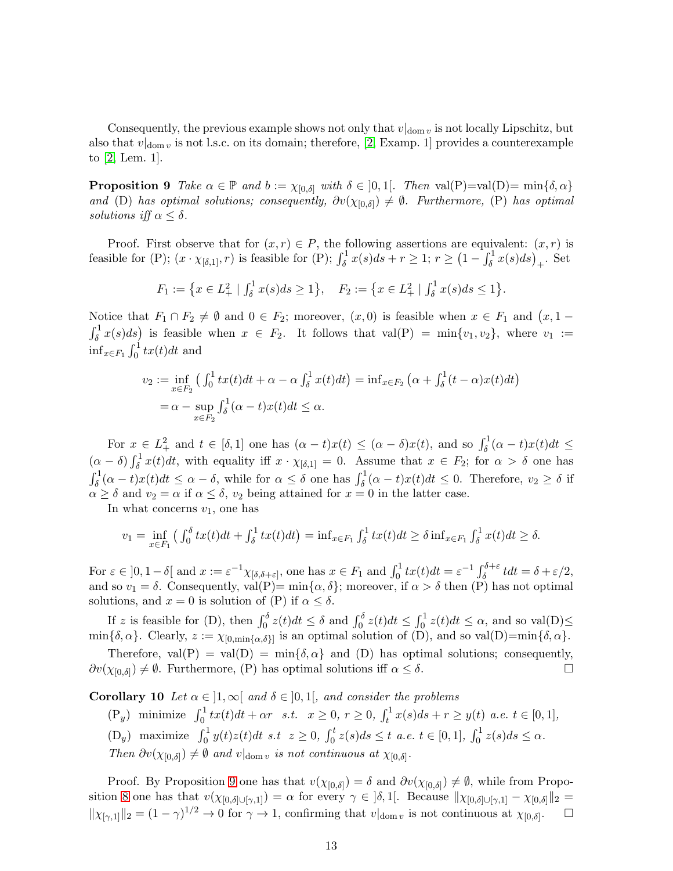<span id="page-12-0"></span>Consequently, the previous example shows not only that  $v|_{dom v}$  is not locally Lipschitz, but also that  $v|_{\text{dom } v}$  is not l.s.c. on its domain; therefore, [\[2,](#page-15-0) Examp. 1] provides a counterexample to [\[2,](#page-15-0) Lem. 1].

**Proposition 9** Take  $\alpha \in \mathbb{P}$  and  $b := \chi_{[0,\delta]}$  with  $\delta \in ]0,1[$ . Then val $(P)=val(D)=min{\delta, \alpha}$ and (D) has optimal solutions; consequently,  $\partial v(\chi_{[0,\delta]}) \neq \emptyset$ . Furthermore, (P) has optimal solutions iff  $\alpha \leq \delta$ .

Proof. First observe that for  $(x, r) \in P$ , the following assertions are equivalent:  $(x, r)$  is feasible for (P);  $(x \cdot \chi_{\delta,1]}, r)$  is feasible for (P);  $\int_{\delta}^{1} x(s)ds + r \geq 1$ ;  $r \geq (1 - \int_{\delta}^{1} x(s)ds)_{+}$ . Set

$$
F_1 := \left\{ x \in L_+^2 \mid \int_{\delta}^1 x(s)ds \ge 1 \right\}, \quad F_2 := \left\{ x \in L_+^2 \mid \int_{\delta}^1 x(s)ds \le 1 \right\}.
$$

Notice that  $F_1 \cap F_2 \neq \emptyset$  and  $0 \in F_2$ ; moreover,  $(x, 0)$  is feasible when  $x \in F_1$  and  $(x, 1 \int_{\delta}^{1} x(s) ds$  is feasible when  $x \in F_2$ . It follows that val(P) = min{v<sub>1</sub>, v<sub>2</sub>}, where v<sub>1</sub> :=  $\inf_{x \in F_1} \int_0^1 tx(t)dt$  and

$$
v_2 := \inf_{x \in F_2} \left( \int_0^1 t x(t) dt + \alpha - \alpha \int_{\delta}^1 x(t) dt \right) = \inf_{x \in F_2} \left( \alpha + \int_{\delta}^1 (t - \alpha) x(t) dt \right)
$$
  
=  $\alpha - \sup_{x \in F_2} \int_{\delta}^1 (\alpha - t) x(t) dt \le \alpha$ .

For  $x \in L^2_+$  and  $t \in [\delta, 1]$  one has  $(\alpha - t)x(t) \leq (\alpha - \delta)x(t)$ , and so  $\int_{\delta}^1 (\alpha - t)x(t)dt \leq$  $(\alpha - \delta) \int_{\delta}^{1} x(t) dt$ , with equality iff  $x \cdot \chi_{[\delta,1]} = 0$ . Assume that  $x \in F_2$ ; for  $\alpha > \delta$  one has  $\int_{\delta}^{1} (\alpha - t)x(t)dt \leq \alpha - \delta$ , while for  $\alpha \leq \delta$  one has  $\int_{\delta}^{1} (\alpha - t)x(t)dt \leq 0$ . Therefore,  $v_2 \geq \delta$  if  $\alpha \geq \delta$  and  $v_2 = \alpha$  if  $\alpha \leq \delta$ ,  $v_2$  being attained for  $x = 0$  in the latter case.

In what concerns  $v_1$ , one has

$$
v_1 = \inf_{x \in F_1} \left( \int_0^\delta t x(t) dt + \int_\delta^1 t x(t) dt \right) = \inf_{x \in F_1} \int_\delta^1 t x(t) dt \ge \delta \inf_{x \in F_1} \int_\delta^1 x(t) dt \ge \delta.
$$

For  $\varepsilon \in ]0, 1-\delta[$  and  $x := \varepsilon^{-1} \chi_{\lbrack \delta, \delta + \varepsilon \rbrack}$ , one has  $x \in F_1$  and  $\int_0^1 tx(t)dt = \varepsilon^{-1} \int_{\delta}^{\delta + \varepsilon} t dt = \delta + \varepsilon/2$ , and so  $v_1 = \delta$ . Consequently, val(P)= min{ $\alpha, \delta$ }; moreover, if  $\alpha > \delta$  then (P) has not optimal solutions, and  $x = 0$  is solution of (P) if  $\alpha \leq \delta$ .

If z is feasible for (D), then  $\int_0^{\delta} z(t)dt \leq \delta$  and  $\int_0^{\delta} z(t)dt \leq \int_0^1 z(t)dt \leq \alpha$ , and so val(D) $\leq$ min $\{\delta, \alpha\}$ . Clearly,  $z := \chi_{[0, \min\{\alpha, \delta\}]}$  is an optimal solution of (D), and so val(D)=min $\{\delta, \alpha\}$ .

Therefore, val(P) = val(D) = min{ $\delta, \alpha$ } and (D) has optimal solutions; consequently,<br> $\chi_{[0,\delta)} \neq \emptyset$ . Furthermore, (P) has optimal solutions iff  $\alpha < \delta$ .  $\partial v(\chi_{[0,\delta]}) \neq \emptyset$ . Furthermore, (P) has optimal solutions iff  $\alpha \leq \delta$ .

Corollary 10 Let  $\alpha \in [1,\infty)$  and  $\delta \in [0,1]$ , and consider the problems

(P<sub>y</sub>) minimize  $\int_0^1 tx(t)dt + \alpha r \quad s.t. \quad x \ge 0, r \ge 0, \int_t^1 x(s)ds + r \ge y(t) \text{ a.e. } t \in [0,1],$ (D<sub>y</sub>) maximize  $\int_0^1 y(t)z(t)dt$  s.t  $z \ge 0$ ,  $\int_0^t z(s)ds \le t$  a.e.  $t \in [0,1]$ ,  $\int_0^1 z(s)ds \le \alpha$ . Then  $\partial v(\chi_{[0,\delta]}) \neq \emptyset$  and  $v|_{\text{dom } v}$  is not continuous at  $\chi_{[0,\delta]}$ .

Proof. By Proposition [9](#page-12-0) one has that  $v(\chi_{[0,\delta]}) = \delta$  and  $\partial v(\chi_{[0,\delta]}) \neq \emptyset$ , while from Propo-sition [8](#page-11-0) one has that  $v(\chi_{[0,\delta]\cup[\gamma,1]}) = \alpha$  for every  $\gamma \in [\delta,1]$ . Because  $\|\chi_{[0,\delta]\cup[\gamma,1]} - \chi_{[0,\delta]}\|_2 =$  $||\chi_{[\gamma,1]}||_2 = (1-\gamma)^{1/2} \to 0$  for  $\gamma \to 1$ , confirming that  $v|_{dom\, v}$  is not continuous at  $\chi_{[0,\delta]}$ .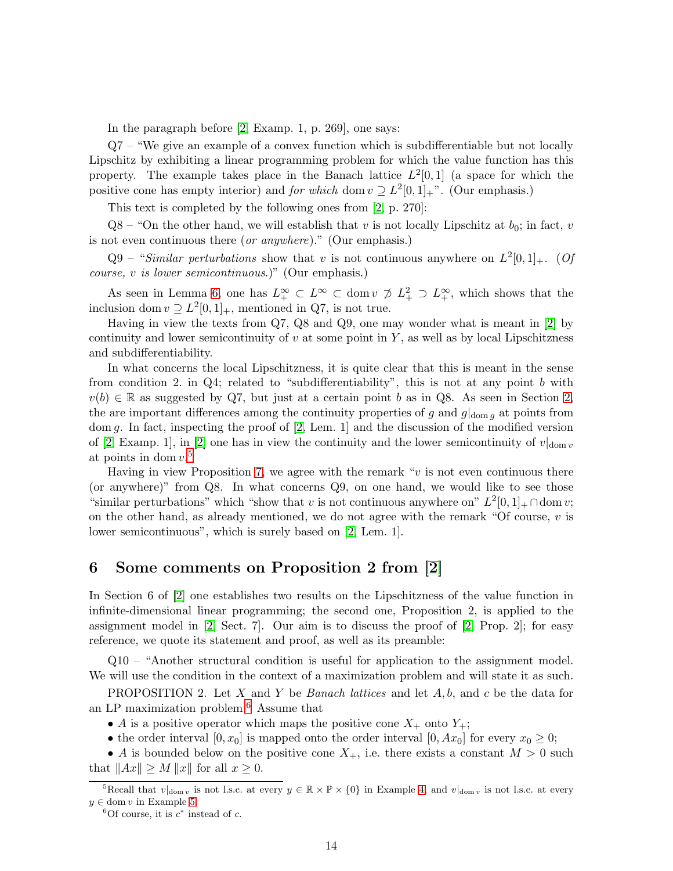In the paragraph before [\[2,](#page-15-0) Examp. 1, p. 269], one says:

Q7 – "We give an example of a convex function which is subdifferentiable but not locally Lipschitz by exhibiting a linear programming problem for which the value function has this property. The example takes place in the Banach lattice  $L^2[0,1]$  (a space for which the positive cone has empty interior) and *for which* dom  $v \supseteq L^2[0,1]_+$ ". (Our emphasis.)

This text is completed by the following ones from [\[2,](#page-15-0) p. 270]:

 $Q8 -$  "On the other hand, we will establish that v is not locally Lipschitz at  $b_0$ ; in fact, v is not even continuous there (or anywhere)." (Our emphasis.)

 $Q9$  – "Similar perturbations show that v is not continuous anywhere on  $L^2[0,1]_+$ . (Of course, v is lower semicontinuous.)" (Our emphasis.)

As seen in Lemma [6,](#page-9-0) one has  $L^{\infty}_{+} \subset L^{\infty} \subset \text{dom } v \not\supset L^2_{+} \supset L^{\infty}_{+}$ , which shows that the inclusion dom  $v \supseteq L^2[0,1]_+$ , mentioned in Q7, is not true.

Having in view the texts from Q7, Q8 and Q9, one may wonder what is meant in [\[2\]](#page-15-0) by continuity and lower semicontinuity of  $v$  at some point in  $Y$ , as well as by local Lipschitzness and subdifferentiability.

In what concerns the local Lipschitzness, it is quite clear that this is meant in the sense from condition 2. in Q4; related to "subdifferentiability", this is not at any point b with  $v(b) \in \mathbb{R}$  as suggested by Q7, but just at a certain point b as in Q8. As seen in Section [2,](#page-2-7) the are important differences among the continuity properties of g and  $g|_{\text{dom } q}$  at points from dom g. In fact, inspecting the proof of [\[2,](#page-15-0) Lem. 1] and the discussion of the modified version of [\[2,](#page-15-0) Examp. 1], in [\[2\]](#page-15-0) one has in view the continuity and the lower semicontinuity of  $v|_{\text{dom } v}$ at points in dom  $v<sup>5</sup>$  $v<sup>5</sup>$  $v<sup>5</sup>$ 

Having in view Proposition [7,](#page-10-1) we agree with the remark " $v$  is not even continuous there (or anywhere)" from Q8. In what concerns Q9, on one hand, we would like to see those "similar perturbations" which "show that v is not continuous anywhere on"  $L^2[0,1]_+ \cap \text{dom } v$ ; on the other hand, as already mentioned, we do not agree with the remark "Of course,  $v$  is lower semicontinuous", which is surely based on [\[2,](#page-15-0) Lem. 1].

## 6 Some comments on Proposition 2 from [\[2\]](#page-15-0)

In Section 6 of [\[2\]](#page-15-0) one establishes two results on the Lipschitzness of the value function in infinite-dimensional linear programming; the second one, Proposition 2, is applied to the assignment model in [\[2,](#page-15-0) Sect. 7]. Our aim is to discuss the proof of [\[2,](#page-15-0) Prop. 2]; for easy reference, we quote its statement and proof, as well as its preamble:

Q10 – "Another structural condition is useful for application to the assignment model. We will use the condition in the context of a maximization problem and will state it as such.

PROPOSITION 2. Let X and Y be Banach lattices and let  $A, b$ , and c be the data for an LP maximization problem.[6](#page-13-1) Assume that

• A is a positive operator which maps the positive cone  $X_+$  onto  $Y_+$ ;

• the order interval  $[0, x_0]$  is mapped onto the order interval  $[0, Ax_0]$  for every  $x_0 \geq 0$ ;

• A is bounded below on the positive cone  $X_+$ , i.e. there exists a constant  $M > 0$  such that  $||Ax|| \ge M ||x||$  for all  $x \ge 0$ .

<sup>&</sup>lt;sup>5</sup>Recall that  $v|_{\text{dom } v}$  is not l.s.c. at every  $y \in \mathbb{R} \times \mathbb{P} \times \{0\}$  in Example [4,](#page-7-0) and  $v|_{\text{dom } v}$  is not l.s.c. at every  $y \in \text{dom } v$  in Example [5.](#page-7-1)

<span id="page-13-1"></span><span id="page-13-0"></span><sup>&</sup>lt;sup>6</sup>Of course, it is  $c^*$  instead of c.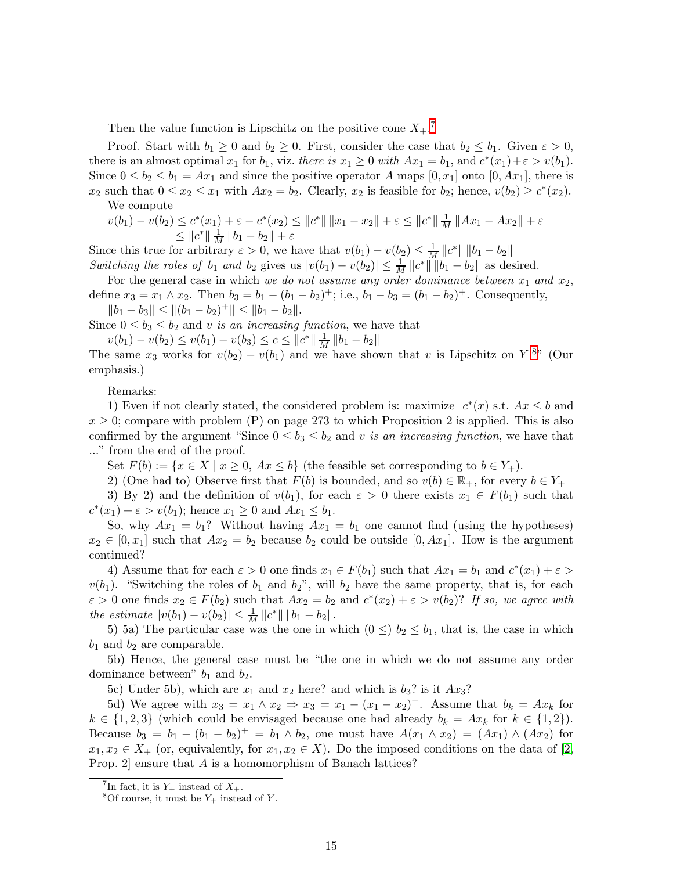Then the value function is Lipschitz on the positive cone  $X_+$ .<sup>[7](#page-14-0)</sup>

Proof. Start with  $b_1 \geq 0$  and  $b_2 \geq 0$ . First, consider the case that  $b_2 \leq b_1$ . Given  $\varepsilon > 0$ , there is an almost optimal  $x_1$  for  $b_1$ , viz. there is  $x_1 \geq 0$  with  $Ax_1 = b_1$ , and  $c^*(x_1) + \varepsilon > v(b_1)$ . Since  $0 \le b_2 \le b_1 = Ax_1$  and since the positive operator A maps  $[0, x_1]$  onto  $[0, Ax_1]$ , there is  $x_2$  such that  $0 \le x_2 \le x_1$  with  $Ax_2 = b_2$ . Clearly,  $x_2$  is feasible for  $b_2$ ; hence,  $v(b_2) \ge c^*(x_2)$ . We compute

 $v(b_1) - v(b_2) \leq c^*(x_1) + \varepsilon - c^*(x_2) \leq ||c^*|| \, ||x_1 - x_2|| + \varepsilon \leq ||c^*|| \, \frac{1}{M} \, ||Ax_1 - Ax_2|| + \varepsilon$  $\leq ||c^*|| \frac{1}{M} ||b_1 - b_2|| + \varepsilon$ 

Since this true for arbitrary  $\varepsilon > 0$ , we have that  $v(b_1) - v(b_2) \leq \frac{1}{M} ||c^*|| ||b_1 - b_2||$ Switching the roles of  $b_1$  and  $b_2$  gives us  $|v(b_1) - v(b_2)| \leq \frac{1}{M} ||c^*|| ||b_1 - b_2||$  as desired.

For the general case in which we do not assume any order dominance between  $x_1$  and  $x_2$ , define  $x_3 = x_1 \wedge x_2$ . Then  $b_3 = b_1 - (b_1 - b_2)^+$ ; i.e.,  $b_1 - b_3 = (b_1 - b_2)^+$ . Consequently,  $||b_1 - b_3|| \le ||(b_1 - b_2)^{+}|| \le ||b_1 - b_2||.$ 

Since  $0 \leq b_3 \leq b_2$  and v is an increasing function, we have that

 $v(b_1) - v(b_2) \le v(b_1) - v(b_3) \le c \le ||c^*|| \frac{1}{M} ||b_1 - b_2||$ 

The same  $x_3$  works for  $v(b_2) - v(b_1)$  and we have shown that v is Lipschitz on  $Y$ .<sup>[8](#page-14-1)"</sup> (Our emphasis.)

Remarks:

1) Even if not clearly stated, the considered problem is: maximize  $c^*(x)$  s.t.  $Ax \leq b$  and  $x \geq 0$ ; compare with problem (P) on page 273 to which Proposition 2 is applied. This is also confirmed by the argument "Since  $0 \leq b_3 \leq b_2$  and v is an increasing function, we have that ..." from the end of the proof.

Set  $F(b) := \{x \in X \mid x \geq 0, Ax \leq b\}$  (the feasible set corresponding to  $b \in Y_+$ ).

2) (One had to) Observe first that  $F(b)$  is bounded, and so  $v(b) \in \mathbb{R}_+$ , for every  $b \in Y_+$ 

3) By 2) and the definition of  $v(b_1)$ , for each  $\varepsilon > 0$  there exists  $x_1 \in F(b_1)$  such that  $c^*(x_1) + \varepsilon > v(b_1)$ ; hence  $x_1 \geq 0$  and  $Ax_1 \leq b_1$ .

So, why  $Ax_1 = b_1$ ? Without having  $Ax_1 = b_1$  one cannot find (using the hypotheses)  $x_2 \in [0, x_1]$  such that  $Ax_2 = b_2$  because  $b_2$  could be outside  $[0, Ax_1]$ . How is the argument continued?

4) Assume that for each  $\varepsilon > 0$  one finds  $x_1 \in F(b_1)$  such that  $Ax_1 = b_1$  and  $c^*(x_1) + \varepsilon > 0$  $v(b_1)$ . "Switching the roles of  $b_1$  and  $b_2$ ", will  $b_2$  have the same property, that is, for each  $\varepsilon > 0$  one finds  $x_2 \in F(b_2)$  such that  $Ax_2 = b_2$  and  $c^*(x_2) + \varepsilon > v(b_2)$ ? If so, we agree with the estimate  $|v(b_1) - v(b_2)| \leq \frac{1}{M} ||c^*|| ||b_1 - b_2||.$ 

5) 5a) The particular case was the one in which  $(0 \leq) b_2 \leq b_1$ , that is, the case in which  $b_1$  and  $b_2$  are comparable.

5b) Hence, the general case must be "the one in which we do not assume any order dominance between"  $b_1$  and  $b_2$ .

5c) Under 5b), which are  $x_1$  and  $x_2$  here? and which is  $b_3$ ? is it  $Ax_3$ ?

5d) We agree with  $x_3 = x_1 \wedge x_2 \Rightarrow x_3 = x_1 - (x_1 - x_2)^+$ . Assume that  $b_k = Ax_k$  for  $k \in \{1,2,3\}$  (which could be envisaged because one had already  $b_k = Ax_k$  for  $k \in \{1,2\}$ ). Because  $b_3 = b_1 - (b_1 - b_2)^+ = b_1 \wedge b_2$ , one must have  $A(x_1 \wedge x_2) = (Ax_1) \wedge (Ax_2)$  for  $x_1, x_2 \in X_+$  (or, equivalently, for  $x_1, x_2 \in X$ ). Do the imposed conditions on the data of [\[2,](#page-15-0) Prop. 2] ensure that A is a homomorphism of Banach lattices?

<sup>&</sup>lt;sup>7</sup>In fact, it is  $Y_+$  instead of  $X_+$ .

<span id="page-14-1"></span><span id="page-14-0"></span><sup>&</sup>lt;sup>8</sup>Of course, it must be  $Y_+$  instead of Y.